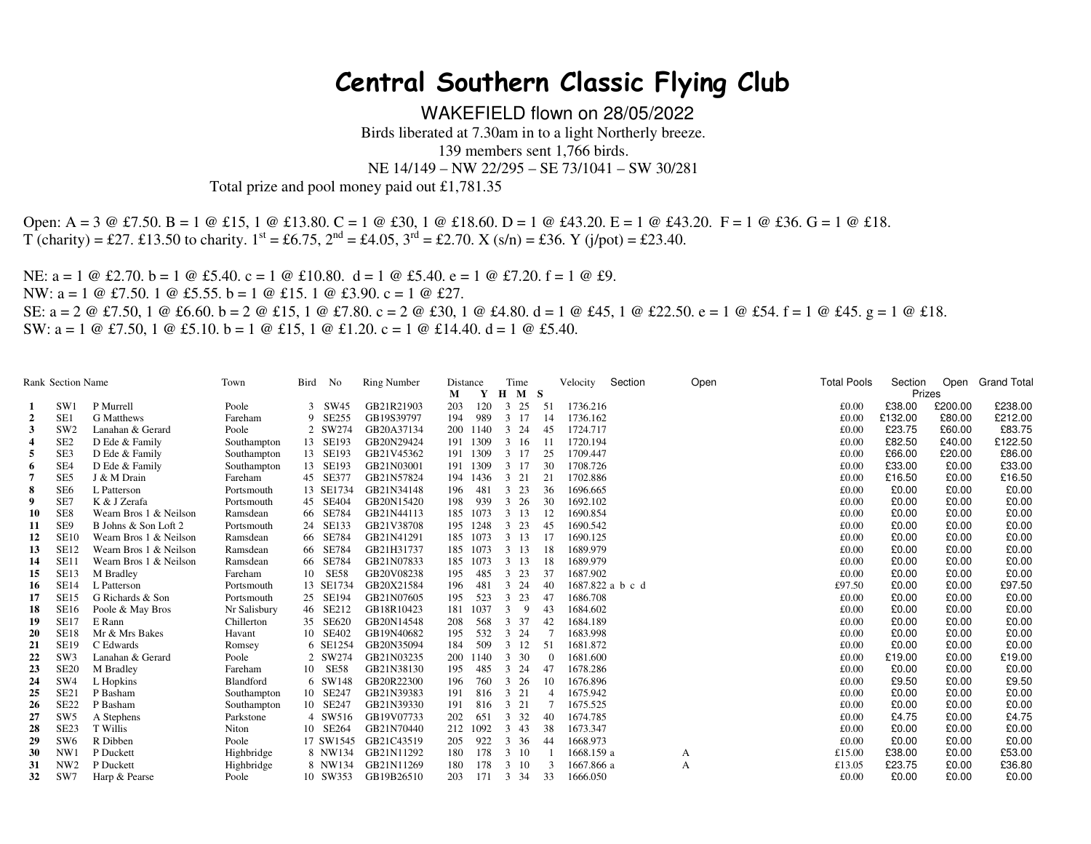## **Central Southern Classic Flying Club**

WAKEFIELD flown on 28/05/2022 Birds liberated at 7.30am in to a light Northerly breeze. 139 members sent 1,766 birds.

NE 14/149 – NW 22/295 – SE 73/1041 – SW 30/281

Total prize and pool money paid out £1,781.35

Open: A = 3 @ £7.50. B = 1 @ £15, 1 @ £13.80. C = 1 @ £30, 1 @ £18.60. D = 1 @ £43.20. E = 1 @ £43.20. F = 1 @ £36. G = 1 @ £18.  $T$  (charity) = £27. £13.50 to charity.  $1^{st}$  = £6.75,  $2^{nd}$  = £4.05,  $3^{rd}$  = £2.70. X (s/n) = £36. Y (j/pot) = £23.40.

NE:  $a = 1 \text{ } @$  £2.70.  $b = 1 \text{ } @$  £5.40.  $c = 1 \text{ } @$  £10.80.  $d = 1 \text{ } @$  £5.40.  $e = 1 \text{ } @$  £7.20.  $f = 1 \text{ } @$  £9. NW: a = 1 @ £7.50. 1 @ £5.55. b = 1 @ £15. 1 @ £3.90. c = 1 @ £27. SE: a = 2 @ £7.50, 1 @ £6.60. b = 2 @ £15, 1 @ £7.80. c = 2 @ £30, 1 @ £4.80. d = 1 @ £45, 1 @ £22.50. e = 1 @ £54. f = 1 @ £45. g = 1 @ £18. SW:  $a = 1 \oplus \text{\pounds}7.50$ ,  $1 \oplus \text{\pounds}5.10$ .  $b = 1 \oplus \text{\pounds}15$ ,  $1 \oplus \text{\pounds}1.20$ .  $c = 1 \oplus \text{\pounds}14.40$ .  $d = 1 \oplus \text{\pounds}5.40$ .

|                | <b>Rank Section Name</b> |                        | Town         | Bird | No        | <b>Ring Number</b>   | Distance |          | Time         |     |                | Velocity         | Section | Open | <b>Total Pools</b> | Section | Open    | <b>Grand Total</b> |
|----------------|--------------------------|------------------------|--------------|------|-----------|----------------------|----------|----------|--------------|-----|----------------|------------------|---------|------|--------------------|---------|---------|--------------------|
|                |                          |                        |              |      |           |                      | М        | Y        | $H$ $M$ $S$  |     |                |                  |         |      |                    | Prizes  |         |                    |
|                | SW1                      | P Murrell              | Poole        |      | 3 SW45    | GB21R21903           | 203      | 120      | $3\;\;25$    | 51  |                | 1736.216         |         |      | £0.00              | £38.00  | £200.00 | £238.00            |
| $\overline{2}$ | SE1                      | G Matthews             | Fareham      |      | 9 SE255   | GB19S39797           | 194      | 989      | 3 17         |     | 14             | 1736.162         |         |      | £0.00              | £132.00 | £80.00  | £212.00            |
| 3              | SW <sub>2</sub>          | Lanahan & Gerard       | Poole        |      | 2 SW274   | GB20A37134           | 200      | 1140     | 3 24         |     | 45             | 1724.717         |         |      | £0.00              | £23.75  | £60.00  | £83.75             |
|                | SE <sub>2</sub>          | D Ede & Family         | Southampton  |      | 13 SE193  | GB20N29424           | 191      | 1309     | 3 16         | -11 |                | 1720.194         |         |      | £0.00              | £82.50  | £40.00  | £122.50            |
| 5              | SE3                      | D Ede & Family         | Southampton  |      | 13 SE193  | GB21V45362           |          | 191 1309 | 3 17         |     | 25             | 1709.447         |         |      | £0.00              | £66.00  | £20.00  | £86.00             |
| 6              | SE4                      | D Ede & Family         | Southampton  |      | 13 SE193  | GB21N03001           |          | 191 1309 | 3 17         |     | 30             | 1708.726         |         |      | £0.00              | £33.00  | £0.00   | £33.00             |
|                | SE5                      | J & M Drain            | Fareham      |      | 45 SE377  | GB21N57824           |          | 194 1436 | 3 21         | 21  |                | 1702.886         |         |      | £0.00              | £16.50  | £0.00   | £16.50             |
| 8              | SE <sub>6</sub>          | L Patterson            | Portsmouth   |      | 13 SE1734 | GB21N34148           | 196      | 481      | $3\;\;23$    |     | 36             | 1696.665         |         |      | £0.00              | £0.00   | £0.00   | £0.00              |
| 9              | SE7                      | K & J Zerafa           | Portsmouth   |      | 45 SE404  | GB20N15420           | 198      | 939      | 3 26         |     | 30             | 1692.102         |         |      | £0.00              | £0.00   | £0.00   | £0.00              |
| 10             | SE8                      | Wearn Bros 1 & Neilson | Ramsdean     |      | 66 SE784  | GB21N44113           | 185      | 1073     | 3 13         |     | 12             | 1690.854         |         |      | £0.00              | £0.00   | £0.00   | £0.00              |
| 11             | SE9                      | B Johns & Son Loft 2   | Portsmouth   |      | 24 SE133  | GB21V38708           | 195      | 1248     | $3\;\;23$    |     | 45             | 1690.542         |         |      | £0.00              | £0.00   | £0.00   | £0.00              |
| 12             | <b>SE10</b>              | Wearn Bros 1 & Neilson | Ramsdean     |      | 66 SE784  | GB21N41291           | 185      | 1073     | 3 13         |     | 17             | 1690.125         |         |      | £0.00              | £0.00   | £0.00   | £0.00              |
| 13             | <b>SE12</b>              | Wearn Bros 1 & Neilson | Ramsdean     |      | 66 SE784  | GB21H31737           |          | 185 1073 | 3 13         |     | 18             | 1689.979         |         |      | £0.00              | £0.00   | £0.00   | £0.00              |
| 14             | SE11                     | Wearn Bros 1 & Neilson | Ramsdean     |      | 66 SE784  | GB21N07833           | 185      | 1073     | 3 13         |     | 18             | 1689.979         |         |      | £0.00              | £0.00   | £0.00   | £0.00              |
| 15             | <b>SE13</b>              | M Bradley              | Fareham      |      | 10 SE58   | GB20V08238           | 195      | 485      | $3\;\;23$    |     | 37             | 1687.902         |         |      | £0.00              | £0.00   | £0.00   | £0.00              |
| -16            | <b>SE14</b>              | L Patterson            | Portsmouth   |      | 13 SE1734 | GB20X21584           | 196      | 481      | 3 24         |     | 40             | 1687.822 a b c d |         |      | £97.50             | £0.00   | £0.00   | £97.50             |
| 17             | <b>SE15</b>              | G Richards & Son       | Portsmouth   |      | 25 SE194  | GB21N07605           | 195      | 523      | 3 23         | 47  |                | 1686.708         |         |      | £0.00              | £0.00   | £0.00   | £0.00              |
| 18             | <b>SE16</b>              | Poole & May Bros       | Nr Salisbury |      | 46 SE212  | GB18R10423           | 181      | 1037     | 9<br>3       |     | 43             | 1684.602         |         |      | £0.00              | £0.00   | £0.00   | £0.00              |
| 19             | <b>SE17</b>              | E Rann                 | Chillerton   |      | 35 SE620  | GB20N14548           | 208      | 568      | 3 37         |     | 42             | 1684.189         |         |      | £0.00              | £0.00   | £0.00   | £0.00              |
| 20             | <b>SE18</b>              | Mr & Mrs Bakes         | Havant       |      | 10 SE402  | GB19N40682           | 195      | 532      | 3 24         |     |                | 1683.998         |         |      | £0.00              | £0.00   | £0.00   | £0.00              |
| 21             | <b>SE19</b>              | C Edwards              | Romsey       |      | 6 SE1254  | GB20N35094           | 184      | 509      | $3 \t12$     | 51  |                | 1681.872         |         |      | £0.00              | £0.00   | £0.00   | £0.00              |
| 22             | SW <sub>3</sub>          | Lanahan & Gerard       | Poole        |      | 2 SW274   | GB21N03235           | 200      | 1140     | 3 30         |     |                | 1681.600         |         |      | £0.00              | £19.00  | £0.00   | £19.00             |
| 23             | <b>SE20</b>              | M Bradley              | Fareham      |      | 10 SE58   | GB21N38130           | 195      | 485      | 3 24         | 47  |                | 1678.286         |         |      | £0.00              | £0.00   | £0.00   | £0.00              |
| 24             | SW <sub>4</sub>          | L Hopkins              | Blandford    |      | 6 SW148   | GB20R22300           | 196      | 760      | 3 26         |     | 10             | 1676.896         |         |      | £0.00              | £9.50   | £0.00   | £9.50              |
| 25             | SE <sub>21</sub>         | P Basham               | Southampton  |      | 10 SE247  | GB21N39383           | 191      | 816      | 3 21         |     | $\overline{4}$ | 1675.942         |         |      | £0.00              | £0.00   | £0.00   | £0.00              |
| 26             | SE <sub>22</sub>         | P Basham               | Southampton  |      | 10 SE247  | GB21N39330           | 191      | 816      | 3 21         |     |                | 1675.525         |         |      | £0.00              | £0.00   | £0.00   | £0.00              |
| 27             | SW <sub>5</sub>          | A Stephens             | Parkstone    |      | 4 SW516   | GB19V07733           | 202      | 651      | 3 3 2        |     | 40             | 1674.785         |         |      | £0.00              | £4.75   | £0.00   | £4.75              |
| 28             | SE <sub>23</sub>         | T Willis               | Niton        |      | 10 SE264  | GB21N70440           | 212      | 1092     | $3 \quad 43$ |     | 38             | 1673.347         |         |      | £0.00              | £0.00   | £0.00   | £0.00              |
| 29             | SW <sub>6</sub>          | R Dibben               | Poole        |      |           | 17 SW1545 GB21C43519 | 205      | 922      | 3 36         |     | 44             | 1668.973         |         |      | £0.00              | £0.00   | £0.00   | £0.00              |
| 30             | NW1                      | P Duckett              | Highbridge   |      | 8 NW134   | GB21N11292           | 180      | 178      | 3 10         |     |                | 1668.159 a       |         | A    | £15.00             | £38.00  | £0.00   | £53.00             |
| 31             | NW <sub>2</sub>          | P Duckett              | Highbridge   |      | 8 NW134   | GB21N11269           | 180      | 178      | 3 10         |     |                | 1667.866 a       |         | А    | £13.05             | £23.75  | £0.00   | £36.80             |
| 32             | SW7                      | Harp & Pearse          | Poole        |      | 10 SW353  | GB19B26510           | 203      | 171      | 3 34         |     | 33             | 1666.050         |         |      | £0.00              | £0.00   | £0.00   | £0.00              |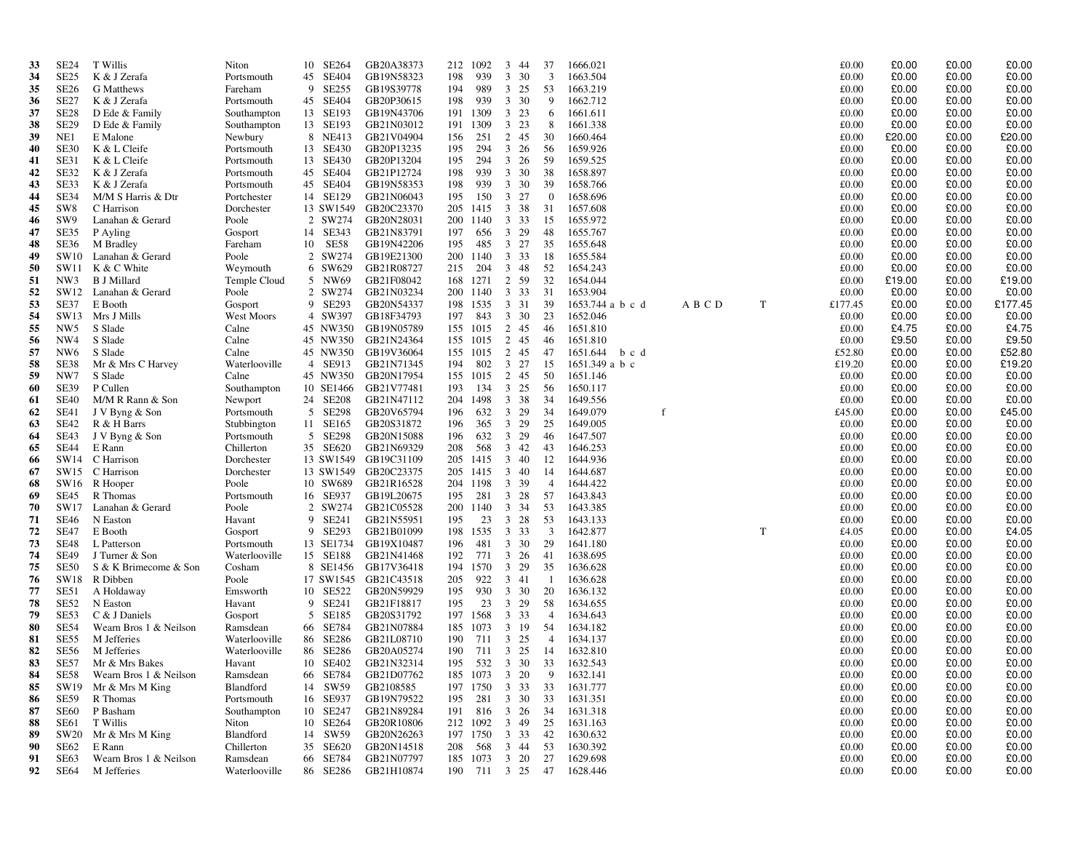| 33       | <b>SE24</b>            | T Willis                     | Niton                   | 10 SE264             | GB20A38373               |            | 212 1092                            | 3<br>-44           | 37             | 1666.021                  |         |             | £0.00          | £0.00          | £0.00          | £0.00          |
|----------|------------------------|------------------------------|-------------------------|----------------------|--------------------------|------------|-------------------------------------|--------------------|----------------|---------------------------|---------|-------------|----------------|----------------|----------------|----------------|
| 34       | SE <sub>25</sub>       | K & J Zerafa                 | Portsmouth              | 45 SE404             | GB19N58323               | 198        | 939                                 | 30<br>$\mathbf{3}$ | 3              | 1663.504                  |         |             | £0.00          | £0.00          | £0.00          | £0.00          |
| 35       | <b>SE26</b>            | G Matthews                   | Fareham                 | 9 SE255              | GB19S39778               | 194        | 989                                 | $3\;\;25$          | 53             | 1663.219                  |         |             | £0.00          | £0.00          | £0.00          | £0.00          |
| 36       | SE <sub>27</sub>       | K & J Zerafa                 | Portsmouth              | 45 SE404             | GB20P30615               | 198        | 939                                 | 3 30               | 9              | 1662.712                  |         |             | £0.00          | £0.00          | £0.00          | £0.00          |
| 37       | SE <sub>28</sub>       | D Ede & Family               | Southampton             | 13 SE193             | GB19N43706               |            | 191 1309                            | 3 23               | 6              | 1661.611                  |         |             | £0.00          | £0.00          | £0.00          | £0.00          |
| 38       | <b>SE29</b>            | D Ede & Family               | Southampton             | 13 SE193             | GB21N03012               |            | 191 1309                            | 3 23               | 8              | 1661.338                  |         |             | £0.00          | £0.00          | £0.00          | £0.00          |
| 39       | NE1                    | E Malone                     | Newbury                 | 8 NE413              | GB21V04904               | 156        | 251                                 | 2 45               | 30             | 1660.464                  |         |             | £0.00          | £20.00         | £0.00          | £20.00         |
| 40       | <b>SE30</b>            | K & L Cleife                 | Portsmouth              | 13 SE430             | GB20P13235               | 195        | 294                                 | $3\quad 26$        | -56            | 1659.926                  |         |             | £0.00          | £0.00          | £0.00          | £0.00          |
| 41       | SE31                   | K & L Cleife                 | Portsmouth              | 13 SE430             | GB20P13204               | 195        | 294                                 | $3\quad 26$        | -59            | 1659.525                  |         |             | £0.00          | £0.00          | £0.00          | £0.00          |
| 42       | SE32                   | K & J Zerafa                 | Portsmouth              | 45 SE404             | GB21P12724               | 198        | 939                                 | 3 30               | 38             | 1658.897                  |         |             | £0.00          | £0.00          | £0.00          | £0.00          |
| 43       | SE33                   | K & J Zerafa                 | Portsmouth              | 45 SE404             | GB19N58353               | 198        | 939                                 | 3 30               | 39             | 1658.766                  |         |             | £0.00          | £0.00          | £0.00          | £0.00          |
| 44       | <b>SE34</b>            | M/M S Harris & Dtr           | Portchester             | 14 SE129             | GB21N06043               | 195        | 150                                 | $3 \t27$           | $\overline{0}$ | 1658.696<br>1657.608      |         |             | £0.00          | £0.00          | £0.00          | £0.00          |
| 45       | SW <sub>8</sub><br>SW9 | C Harrison                   | Dorchester              | 13 SW1549<br>2 SW274 | GB20C23370               | 200        | 205 1415<br>1140                    | 3 38<br>3 3 3      | 31             | 1655.972                  |         |             | £0.00<br>£0.00 | £0.00<br>£0.00 | £0.00<br>£0.00 | £0.00<br>£0.00 |
| 46<br>47 | SE35                   | Lanahan & Gerard<br>P Ayling | Poole<br>Gosport        | 14 SE343             | GB20N28031<br>GB21N83791 | 197        | 656                                 | 3 29               | 15<br>48       | 1655.767                  |         |             | £0.00          | £0.00          | £0.00          | £0.00          |
| 48       | <b>SE36</b>            | M Bradley                    | Fareham                 | 10 SE58              | GB19N42206               | 195        | 485                                 | $3 \t27$           | 35             | 1655.648                  |         |             | £0.00          | £0.00          | £0.00          | £0.00          |
| 49       | SW10                   | Lanahan & Gerard             | Poole                   | 2 SW274              | GB19E21300               |            | 200 1140                            | 3 3 3              | -18            | 1655.584                  |         |             | £0.00          | £0.00          | £0.00          | £0.00          |
| 50       | SW11                   | K & C White                  | Weymouth                | 6 SW629              | GB21R08727               | 215        | 204                                 | $3 \quad 48$       | 52             | 1654.243                  |         |             | £0.00          | £0.00          | £0.00          | £0.00          |
| 51       | NW3                    | <b>B</b> J Millard           | Temple Cloud            | 5 NW69               | GB21F08042               | 168        | 1271                                | 2 59               | 32             | 1654.044                  |         |             | £0.00          | £19.00         | £0.00          | £19.00         |
| 52       | SW12                   | Lanahan & Gerard             | Poole                   | 2 SW274              | GB21N03234               |            | 200 1140                            | 3 3 3              | 31             | 1653.904                  |         |             | £0.00          | £0.00          | £0.00          | £0.00          |
| 53       | SE37                   | E Booth                      | Gosport                 | 9 SE293              | GB20N54337               | 198        | 1535                                | 3 3 1              | 39             | 1653.744 a b c d          | A B C D | T           | £177.45        | £0.00          | £0.00          | £177.45        |
| 54       |                        | SW13 Mrs J Mills             | West Moors              | 4 SW397              | GB18F34793               | 197        | 843                                 | 3 30               | 23             | 1652.046                  |         |             | £0.00          | £0.00          | £0.00          | £0.00          |
| 55       | NW <sub>5</sub>        | S Slade                      | Calne                   | 45 NW350             | GB19N05789               |            | 155 1015                            | 2 45               | -46            | 1651.810                  |         |             | £0.00          | £4.75          | £0.00          | £4.75          |
| 56       | NW4                    | S Slade                      | Calne                   | 45 NW350             | GB21N24364               |            | 155 1015                            | 2 45               | -46            | 1651.810                  |         |             | £0.00          | £9.50          | £0.00          | £9.50          |
| 57       | NW <sub>6</sub>        | S Slade                      | Calne                   | 45 NW350             | GB19V36064               |            | 155 1015                            | 2 45               | 47             | 1651.644<br>b c d         |         |             | £52.80         | £0.00          | £0.00          | £52.80         |
| 58       | SE38                   | Mr & Mrs C Harvey            | Waterlooville           | 4 SE913              | GB21N71345               | 194        | 802                                 | 3 27               | 15             | $1651.349$ a b c          |         |             | £19.20         | £0.00          | £0.00          | £19.20         |
| 59       | NW7                    | S Slade                      | Calne                   | 45 NW350             | GB20N17954               |            | 155 1015                            | 2 45               | 50             | 1651.146                  |         |             | £0.00          | £0.00          | £0.00          | £0.00          |
| 60       | <b>SE39</b>            | P Cullen                     | Southampton             | 10 SE1466            | GB21V77481               | 193        | 134                                 | 3 25               | -56            | 1650.117                  |         |             | £0.00          | £0.00          | £0.00          | £0.00          |
| 61       | <b>SE40</b>            | M/M R Rann & Son             | Newport                 | 24 SE208             | GB21N47112               | 204        | 1498                                | 3 38               | 34             | 1649.556                  |         |             | £0.00          | £0.00          | £0.00          | £0.00          |
| 62       | SE41                   | J V Byng & Son               | Portsmouth              | 5 SE298              | GB20V65794               | 196        | 632                                 | 3 29               | 34             | 1649.079                  |         |             | £45.00         | £0.00          | £0.00          | £45.00         |
| 63       | <b>SE42</b>            | R & H Barrs                  | Stubbington             | 11 SE165             | GB20S31872               | 196        | 365                                 | 3 29               | 25             | 1649.005                  |         |             | £0.00          | £0.00          | £0.00          | £0.00          |
| 64       | SE43                   | J V Byng & Son               | Portsmouth              | 5 SE298              | GB20N15088               | 196        | 632                                 | 3 29               | -46            | 1647.507                  |         |             | £0.00          | £0.00          | £0.00          | £0.00          |
| 65       | <b>SE44</b>            | E Rann                       | Chillerton              | 35 SE620             | GB21N69329               | 208        | 568                                 | $3 \quad 42$       | 43             | 1646.253                  |         |             | £0.00          | £0.00          | £0.00          | £0.00          |
| 66       |                        | SW14 C Harrison              | Dorchester              |                      | 13 SW1549 GB19C31109     | 205        | 1415                                | 3 40               | 12             | 1644.936                  |         |             | £0.00          | £0.00          | £0.00          | £0.00          |
| 67       |                        | SW15 C Harrison              | Dorchester              |                      | 13 SW1549 GB20C23375     |            | 205 1415                            | 3 40               | 14             | 1644.687                  |         |             | £0.00          | £0.00          | £0.00          | £0.00          |
| 68       |                        | SW16 R Hooper                | Poole                   | 10 SW689             | GB21R16528               |            | 204 1198                            | 3 39               | 4              | 1644.422                  |         |             | £0.00          | £0.00          | £0.00<br>£0.00 | £0.00          |
| 69<br>70 | SE45<br>SW17           | R Thomas<br>Lanahan & Gerard | Portsmouth<br>Poole     | 16 SE937<br>2 SW274  | GB19L20675<br>GB21C05528 | 195<br>200 | 281<br>1140                         | $3 \t28$<br>3 3 4  | 57<br>53       | 1643.843<br>1643.385      |         |             | £0.00<br>£0.00 | £0.00<br>£0.00 | £0.00          | £0.00<br>£0.00 |
| 71       | <b>SE46</b>            | N Easton                     | Havant                  | 9 SE241              | GB21N55951               | 195        | 23                                  | 3 28               | 53             | 1643.133                  |         |             | £0.00          | £0.00          | £0.00          | £0.00          |
| 72       | <b>SE47</b>            | E Booth                      | Gosport                 | 9 SE293              | GB21B01099               |            | 198 1535                            | 3 3 3              | 3              | 1642.877                  |         | $\mathbf T$ | £4.05          | £0.00          | £0.00          | £4.05          |
| 73       | <b>SE48</b>            | L Patterson                  | Portsmouth              | 13 SE1734            | GB19X10487               | 196        | 481                                 | 3 30               | 29             | 1641.180                  |         |             | £0.00          | £0.00          | £0.00          | £0.00          |
| 74       | <b>SE49</b>            | J Turner & Son               | Waterlooville           | 15 SE188             | GB21N41468               | 192        | 771                                 | 3 26               | -41            | 1638.695                  |         |             | £0.00          | £0.00          | £0.00          | £0.00          |
| 75       | SE50                   | S & K Brimecome & Son        | Cosham                  |                      | 8 SE1456 GB17V36418      |            | 194 1570                            | $\mathbf{3}$<br>29 | 35             | 1636.628                  |         |             | £0.00          | £0.00          | £0.00          | £0.00          |
| 76       | SW18                   | R Dibben                     | Poole                   |                      | 17 SW1545 GB21C43518     | 205        | 922                                 | 3 41               | - 1            | 1636.628                  |         |             | £0.00          | £0.00          | £0.00          | £0.00          |
| 77       | SE51                   | A Holdaway                   | Emsworth                | 10 SE522             | GB20N59929               | 195        | 930                                 | 3 30               | 20             | 1636.132                  |         |             | £0.00          | £0.00          | £0.00          | £0.00          |
| 78       | SE52                   | N Easton                     | Havant                  | 9 SE241              | GB21F18817               | 195        | 23                                  | 3 29               | 58             | 1634.655                  |         |             | £0.00          | £0.00          | £0.00          | £0.00          |
| 79       | <b>SE53</b>            | C & J Daniels                | Gosport                 | 5 SE185              | GB20S31792               |            | 197 1568                            | 3 3 3              | $\overline{4}$ | 1634.643                  |         |             | £0.00          | £0.00          | £0.00          | £0.00          |
| 80       | SE54                   | Wearn Bros 1 & Neilson       | Ramsdean                | 66 SE784             | GB21N07884               |            | 185 1073                            | 3 19               | 54             | 1634.182                  |         |             | £0.00          | £0.00          | £0.00          | £0.00          |
| 81       | SE55                   | M Jefferies                  | Waterlooville           | 86 SE286             | GB21L08710               | 190        | 711                                 | 3 25               | 4              | 1634.137                  |         |             | £0.00          | £0.00          | £0.00          | £0.00          |
| 82       | <b>SE56</b>            | M Jefferies                  | Waterlooville           | 86 SE286             | GB20A05274               | 190        | 711                                 | 3 25               | -14            | 1632.810                  |         |             | £0.00          | £0.00          | £0.00          | £0.00          |
| 83       | <b>SE57</b>            | Mr & Mrs Bakes               | Havant                  | 10 SE402             | GB21N32314               |            |                                     |                    |                | 195 532 3 30 33 1632.543  |         |             | £0.00          | £0.00          | £0.00          | £0.00          |
| 84       |                        | SE58 Wearn Bros 1 & Neilson  | Ramsdean                |                      | 66 SE784 GB21D07762      |            |                                     |                    |                | 185 1073 3 20 9 1632.141  |         |             | £0.00          | £0.00          | £0.00          | £0.00          |
| 85       |                        | SW19 Mr & Mrs M King         | Blandford               | 14 SW59              | GB2108585                |            |                                     |                    |                | 197 1750 3 33 33 1631.777 |         |             | £0.00          | £0.00          | £0.00          | £0.00          |
| 86       | <b>SE59</b>            | R Thomas                     | Portsmouth              | 16 SE937             | GB19N79522               |            | 195 281 3 30                        |                    | 33             | 1631.351                  |         |             | £0.00          | £0.00          | £0.00          | £0.00          |
| 87       | SE <sub>60</sub>       | P Basham                     | Southampton             | 10 SE247             | GB21N89284               |            | 191 816 3 26 34                     |                    |                | 1631.318                  |         |             | £0.00          | £0.00          | £0.00          | £0.00          |
| 88       | SE61                   | T Willis                     | Niton                   | 10 SE264             | GB20R10806               |            | 212 1092 3 49                       |                    | 25             | 1631.163                  |         |             | £0.00          | £0.00          | £0.00          | £0.00          |
| 89       | SW20<br>SE62           | Mr & Mrs M King<br>E Rann    | Blandford<br>Chillerton | 14 SW59              | GB20N26263<br>GB20N14518 |            | 197 1750 3 33                       |                    | 42             | 1630.632<br>1630.392      |         |             | £0.00<br>£0.00 | £0.00<br>£0.00 | £0.00<br>£0.00 | £0.00<br>£0.00 |
| 90<br>91 | SE63                   | Wearn Bros 1 & Neilson       | Ramsdean                | 35 SE620<br>66 SE784 | GB21N07797               |            | 208 568 3 44 53<br>185 1073 3 20 27 |                    |                | 1629.698                  |         |             | £0.00          | £0.00          | £0.00          | £0.00          |
| 92       | SE64                   | M Jefferies                  | Waterlooville           | 86 SE286             | GB21H10874               |            |                                     |                    |                | 190 711 3 25 47 1628.446  |         |             | £0.00          | £0.00          | £0.00          | £0.00          |
|          |                        |                              |                         |                      |                          |            |                                     |                    |                |                           |         |             |                |                |                |                |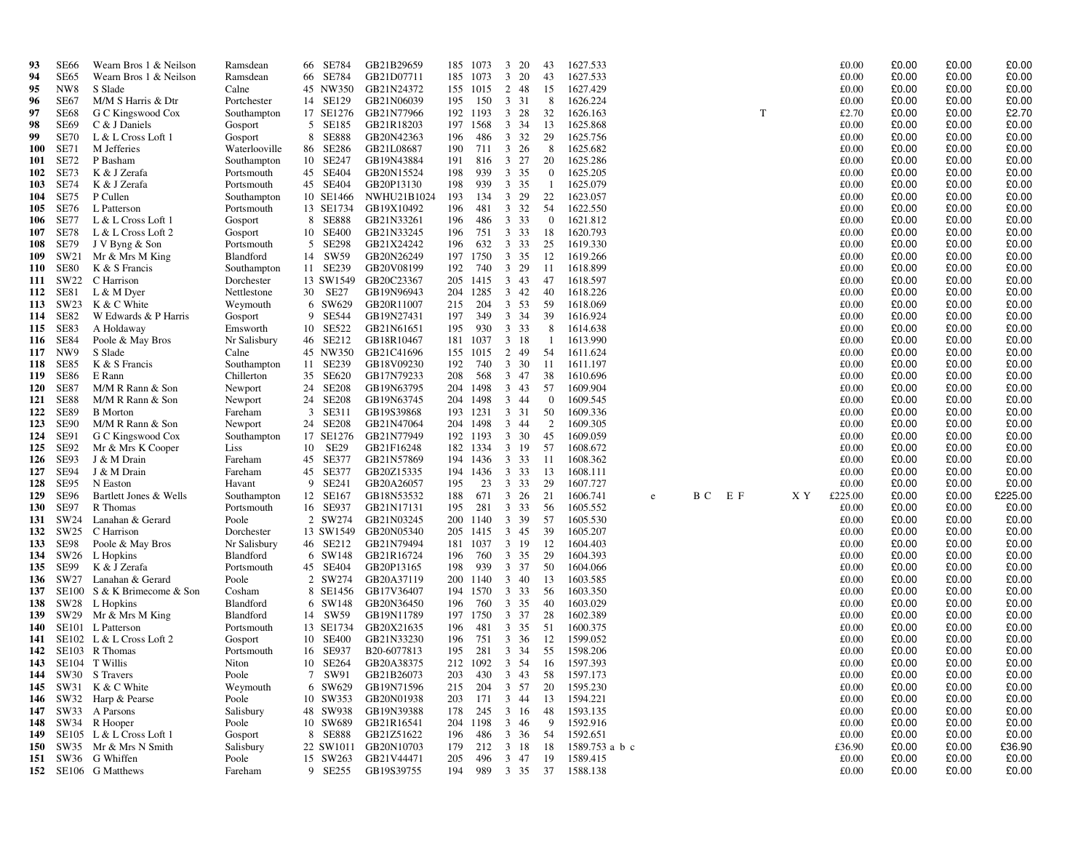| 93                | SE66                | Wearn Bros 1 & Neilson             | Ramsdean                | 66 SE784             | GB21B29659               |            | 185 1073      | 3 20                                   | 43               | 1627.533                 |   |     |     |     | £0.00          | £0.00          | £0.00          | £0.00            |
|-------------------|---------------------|------------------------------------|-------------------------|----------------------|--------------------------|------------|---------------|----------------------------------------|------------------|--------------------------|---|-----|-----|-----|----------------|----------------|----------------|------------------|
| 94                | SE65                | Wearn Bros 1 & Neilson             | Ramsdean                | 66 SE784             | GB21D07711               |            | 185 1073      | $\overline{\mathbf{3}}$<br>20          | 43               | 1627.533                 |   |     |     |     | £0.00          | £0.00          | £0.00          | £0.00            |
| 95                | NW <sub>8</sub>     | S Slade                            | Calne                   | 45 NW350             | GB21N24372               |            | 155 1015      | 2 48                                   | -15              | 1627.429                 |   |     |     |     | £0.00          | £0.00          | £0.00          | £0.00            |
| 96                | SE67                | M/M S Harris & Dtr                 | Portchester             | 14 SE129             | GB21N06039               | 195        | 150           | 3 3 1                                  | 8                | 1626.224                 |   |     |     |     | £0.00          | £0.00          | £0.00          | £0.00            |
| 97                | SE68                | G C Kingswood Cox                  | Southampton             | 17 SE1276            | GB21N77966               |            | 192 1193      | 3 28                                   | 32               | 1626.163                 |   |     | T   |     | £2.70          | £0.00          | £0.00          | £2.70            |
| 98                | SE69                | C & J Daniels                      | Gosport                 | 5 SE185              | GB21R18203               |            | 197 1568      | 3 3 4                                  | -13              | 1625.868                 |   |     |     |     | £0.00          | £0.00          | £0.00          | £0.00            |
| 99                | <b>SE70</b>         | L & L Cross Loft 1                 | Gosport                 | 8 SE888              | GB20N42363               | 196        | 486           | 3 3 2                                  | 29               | 1625.756                 |   |     |     |     | £0.00          | £0.00          | £0.00          | £0.00            |
| <b>100</b>        | <b>SE71</b>         | M Jefferies                        | Waterlooville           | 86 SE286             | GB21L08687               | 190        | 711           | 3 26                                   | 8                | 1625.682                 |   |     |     |     | £0.00          | £0.00          | £0.00          | £0.00            |
| 101               | SE72                | P Basham                           | Southampton             | 10 SE247             | GB19N43884               | 191        | 816           | 3 27                                   | 20               | 1625.286                 |   |     |     |     | £0.00          | £0.00          | £0.00          | £0.00            |
| 102               | SE73                | K & J Zerafa                       | Portsmouth              | 45 SE404             | GB20N15524               | 198        | 939           | 3 35                                   | $\bf{0}$         | 1625.205                 |   |     |     |     | £0.00          | £0.00          | £0.00          | £0.00            |
| 103               | <b>SE74</b>         | K & J Zerafa                       | Portsmouth              | 45 SE404             | GB20P13130               | 198        | 939           | 3 35                                   | -1               | 1625.079                 |   |     |     |     | £0.00          | £0.00          | £0.00          | £0.00            |
| 104               | <b>SE75</b>         | P Cullen                           | Southampton             | 10 SE1466            | NWHU21B1024              | 193        | 134           | 3 29                                   | 22               | 1623.057                 |   |     |     |     | £0.00          | £0.00          | £0.00          | £0.00            |
| 105               | <b>SE76</b>         | L Patterson                        | Portsmouth              | 13 SE1734            | GB19X10492               | 196        | 481           | 3 32                                   | 54               | 1622.550                 |   |     |     |     | £0.00          | £0.00          | £0.00          | £0.00            |
| 106               | <b>SE77</b>         | L & L Cross Loft 1                 | Gosport                 | 8 SE888              | GB21N33261               | 196        | 486           | $\mathbf{3}$<br>33                     | $\boldsymbol{0}$ | 1621.812                 |   |     |     |     | £0.00          | £0.00          | £0.00          | £0.00            |
| 107<br>108        | SE78<br><b>SE79</b> | L & L Cross Loft 2                 | Gosport                 | 10 SE400<br>5 SE298  | GB21N33245<br>GB21X24242 | 196<br>196 | 751<br>632    | 3 3 3<br>$\overline{\mathbf{3}}$<br>33 | 18<br>25         | 1620.793<br>1619.330     |   |     |     |     | £0.00<br>£0.00 | £0.00<br>£0.00 | £0.00<br>£0.00 | £0.00<br>£0.00   |
| 109               | SW21                | J V Byng & Son<br>Mr & Mrs M King  | Portsmouth<br>Blandford | 14 SW59              | GB20N26249               | 197        | 1750          | 3 35                                   | 12               | 1619.266                 |   |     |     |     | £0.00          | £0.00          | £0.00          | £0.00            |
| 110               | <b>SE80</b>         | K & S Francis                      | Southampton             | 11 SE239             | GB20V08199               | 192        | 740           | 3 29                                   | -11              | 1618.899                 |   |     |     |     | £0.00          | £0.00          | £0.00          | £0.00            |
| 111               | SW22                | C Harrison                         | Dorchester              | 13 SW1549            | GB20C23367               |            | 205 1415      | 3 43                                   | -47              | 1618.597                 |   |     |     |     | £0.00          | £0.00          | £0.00          | £0.00            |
| 112               | SE81                | L & M Dyer                         | Nettlestone             | 30 SE27              | GB19N96943               |            | 204 1285      | $3 \t 42$                              | 40               | 1618.226                 |   |     |     |     | £0.00          | £0.00          | £0.00          | £0.00            |
| 113               | SW23                | K & C White                        | Weymouth                | 6 SW629              | GB20R11007               | 215        | 204           | 3 53                                   | 59               | 1618.069                 |   |     |     |     | £0.00          | £0.00          | £0.00          | £0.00            |
| 114               | SE82                | W Edwards & P Harris               | Gosport                 | 9 SE544              | GB19N27431               | 197        | 349           | 3 34                                   | 39               | 1616.924                 |   |     |     |     | £0.00          | £0.00          | £0.00          | £0.00            |
| 115               | SE83                | A Holdaway                         | Emsworth                | 10 SE522             | GB21N61651               | 195        | 930           | 3 3 3                                  | 8                | 1614.638                 |   |     |     |     | £0.00          | £0.00          | £0.00          | £0.00            |
| 116               | SE84                | Poole & May Bros                   | Nr Salisbury            | 46 SE212             | GB18R10467               | 181        | 1037          | 3 18                                   | -1               | 1613.990                 |   |     |     |     | £0.00          | £0.00          | £0.00          | £0.00            |
| 117               | NW <sub>9</sub>     | S Slade                            | Calne                   | 45 NW350             | GB21C41696               |            | 155 1015      | 2 49                                   | 54               | 1611.624                 |   |     |     |     | £0.00          | £0.00          | £0.00          | £0.00            |
| 118               | SE85                | K & S Francis                      | Southampton             | 11 SE239             | GB18V09230               | 192        | 740           | 3 30                                   | -11              | 1611.197                 |   |     |     |     | £0.00          | £0.00          | £0.00          | £0.00            |
| 119               | <b>SE86</b>         | E Rann                             | Chillerton              | 35 SE620             | GB17N79233               | 208        | 568           | 3 47                                   | 38               | 1610.696                 |   |     |     |     | £0.00          | £0.00          | £0.00          | £0.00            |
| <b>120</b>        | SE87                | M/M R Rann & Son                   | Newport                 | 24 SE208             | GB19N63795               | 204        | 1498          | 3 43                                   | 57               | 1609.904                 |   |     |     |     | £0.00          | £0.00          | £0.00          | £0.00            |
| 121               | SE88                | M/M R Rann & Son                   | Newport                 | 24 SE208             | GB19N63745               |            | 204 1498      | 3 44                                   | $\bf{0}$         | 1609.545                 |   |     |     |     | £0.00          | £0.00          | £0.00          | £0.00            |
| 122               | <b>SE89</b>         | <b>B</b> Morton                    | Fareham                 | 3 SE311              | GB19S39868               |            | 193 1231      | 3 3 1                                  | 50               | 1609.336                 |   |     |     |     | £0.00          | £0.00          | £0.00          | £0.00            |
| 123               | SE <sub>90</sub>    | M/M R Rann & Son                   | Newport                 | 24 SE208             | GB21N47064               |            | 204 1498      | 3 44                                   | $\overline{2}$   | 1609.305                 |   |     |     |     | £0.00          | £0.00          | £0.00          | £0.00            |
| 124               | SE91                | G C Kingswood Cox                  | Southampton             | 17 SE1276            | GB21N77949               |            | 192 1193      | 3 30                                   | 45               | 1609.059                 |   |     |     |     | £0.00          | £0.00          | £0.00          | £0.00            |
| 125               | SE92                | Mr & Mrs K Cooper                  | Liss                    | 10 SE29              | GB21F16248               |            | 182 1334      | 3 19                                   | 57               | 1608.672                 |   |     |     |     | £0.00          | £0.00          | £0.00          | £0.00            |
| 126               | SE93                | J & M Drain                        | Fareham                 | 45 SE377             | GB21N57869               |            | 194 1436      | 3 3 3                                  | -11              | 1608.362                 |   |     |     |     | £0.00          | £0.00          | £0.00          | £0.00            |
| 127               | <b>SE94</b>         | J & M Drain                        | Fareham                 | 45 SE377             | GB20Z15335               |            | 194 1436      | 3 3 3                                  | 13               | 1608.111                 |   |     |     |     | £0.00          | £0.00          | £0.00          | £0.00            |
| 128               | SE95                | N Easton                           | Havant                  | 9 SE241              | GB20A26057               | 195        | 23            | 3 3 3                                  | 29               | 1607.727                 |   |     |     |     | £0.00          | £0.00          | £0.00          | £0.00            |
| 129               | SE <sub>96</sub>    | Bartlett Jones & Wells<br>R Thomas | Southampton             | 12 SE167<br>16 SE937 | GB18N53532               | 188        | 671<br>281    | 3 26                                   | 21               | 1606.741                 | e | B C | E F | X Y | £225.00        | £0.00          | £0.00<br>£0.00 | £225.00<br>£0.00 |
| <b>130</b><br>131 | SE97<br>SW24        | Lanahan & Gerard                   | Portsmouth<br>Poole     | 2 SW274              | GB21N17131<br>GB21N03245 | 195<br>200 | 1140          | 3 3 3<br>3 39                          | 56<br>57         | 1605.552<br>1605.530     |   |     |     |     | £0.00<br>£0.00 | £0.00<br>£0.00 | £0.00          | £0.00            |
| 132               | SW25                | C Harrison                         | Dorchester              | 13 SW1549            | GB20N05340               |            | 205 1415      | 3 45                                   | 39               | 1605.207                 |   |     |     |     | £0.00          | £0.00          | £0.00          | £0.00            |
| 133               | SE98                | Poole & May Bros                   | Nr Salisbury            | 46 SE212             | GB21N79494               | 181        | 1037          | 3 19                                   | 12               | 1604.403                 |   |     |     |     | £0.00          | £0.00          | £0.00          | £0.00            |
| 134               | SW26                | L Hopkins                          | Blandford               | 6 SW148              | GB21R16724               | 196        | 760           | 3 35                                   | 29               | 1604.393                 |   |     |     |     | £0.00          | £0.00          | £0.00          | £0.00            |
| 135               | SE99                | K & J Zerafa                       | Portsmouth              | 45 SE404             | GB20P13165               | 198        | 939           | 3 37                                   | 50               | 1604.066                 |   |     |     |     | £0.00          | £0.00          | £0.00          | £0.00            |
| 136               |                     | SW27 Lanahan & Gerard              | Poole                   | 2 SW274              | GB20A37119               |            | 200 1140      | $3\quad 40$                            | 13               | 1603.585                 |   |     |     |     | £0.00          | £0.00          | £0.00          | £0.00            |
| 137               |                     | SE100 S & K Brimecome & Son        | Cosham                  | 8 SE1456             | GB17V36407               |            | 194 1570      | 3 3 3                                  | 56               | 1603.350                 |   |     |     |     | £0.00          | £0.00          | £0.00          | £0.00            |
| 138               |                     | SW28 L Hopkins                     | Blandford               | 6 SW148              | GB20N36450               | 196        | 760           | 3 35                                   | 40               | 1603.029                 |   |     |     |     | £0.00          | £0.00          | £0.00          | £0.00            |
| 139               |                     | SW29 Mr & Mrs M King               | Blandford               | 14 SW59              | GB19N11789               |            | 197 1750      | 3 37                                   | 28               | 1602.389                 |   |     |     |     | £0.00          | £0.00          | £0.00          | £0.00            |
| 140               |                     | SE101 L Patterson                  | Portsmouth              | 13 SE1734            | GB20X21635               | 196        | 481           | 3 35                                   | 51               | 1600.375                 |   |     |     |     | £0.00          | £0.00          | £0.00          | £0.00            |
| 141               |                     | SE102 L & L Cross Loft 2           | Gosport                 | 10 SE400             | GB21N33230               | 196        | 751           | 3 36                                   | 12               | 1599.052                 |   |     |     |     | £0.00          | £0.00          | £0.00          | £0.00            |
| 142               |                     | SE103 R Thomas                     | Portsmouth              | 16 SE937             | B20-6077813              | 195        | 281           | 3 3 4                                  | 55               | 1598.206                 |   |     |     |     | £0.00          | £0.00          | £0.00          | £0.00            |
|                   |                     | 143 SE104 T Willis                 | Niton                   | 10 SE264             | GB20A38375               |            | 212 1092 3 54 |                                        | 16               | 1597.393                 |   |     |     |     | £0.00          | £0.00          | £0.00          | £0.00            |
|                   |                     | 144 SW30 S Travers                 | Poole                   |                      | 7 SW91 GB21B26073        | 203        |               |                                        |                  | 430 3 43 58 1597.173     |   |     |     |     | £0.00          | £0.00          | £0.00          | £0.00            |
|                   |                     | 145 SW31 K & C White               | Weymouth                |                      | 6 SW629 GB19N71596       |            | 215 204 3 57  |                                        |                  | 20 1595.230              |   |     |     |     | £0.00          | £0.00          | £0.00          | £0.00            |
|                   |                     | 146 SW32 Harp & Pearse             | Poole                   |                      | 10 SW353 GB20N01938      | 203        | 171           | 3 44                                   | 13               | 1594.221                 |   |     |     |     | £0.00          | £0.00          | £0.00          | £0.00            |
|                   |                     | 147 SW33 A Parsons                 | Salisbury               | 48 SW938             | GB19N39388               | 178        | 245 3 16      |                                        | 48               | 1593.135                 |   |     |     |     | £0.00          | £0.00          | £0.00          | £0.00            |
|                   |                     | 148 SW34 R Hooper                  | Poole                   | 10 SW689             | GB21R16541               |            | 204 1198 3 46 |                                        | 9                | 1592.916                 |   |     |     |     | £0.00          | £0.00          | £0.00          | £0.00            |
|                   |                     | 149 SE105 L & L Cross Loft 1       | Gosport                 | 8 SE888              | GB21Z51622               | 196        | 486 3 36      |                                        | 54               | 1592.651                 |   |     |     |     | £0.00          | £0.00          | £0.00          | £0.00            |
|                   |                     | 150 SW35 Mr & Mrs N Smith          | Salisbury               |                      | 22 SW1011 GB20N10703     | 179        | 212 3 18      |                                        | 18               | 1589.753 a b c           |   |     |     |     | £36.90         | £0.00          | £0.00          | £36.90           |
|                   |                     | 151 SW36 G Whiffen                 | Poole                   | 15 SW263             | GB21V44471               | 205        |               | 496 3 47                               | 19               | 1589.415                 |   |     |     |     | £0.00          | £0.00          | £0.00          | £0.00            |
|                   |                     | 152 SE106 G Matthews               | Fareham                 |                      | 9 SE255 GB19S39755       |            |               |                                        |                  | 194 989 3 35 37 1588.138 |   |     |     |     | £0.00          | £0.00          | £0.00          | £0.00            |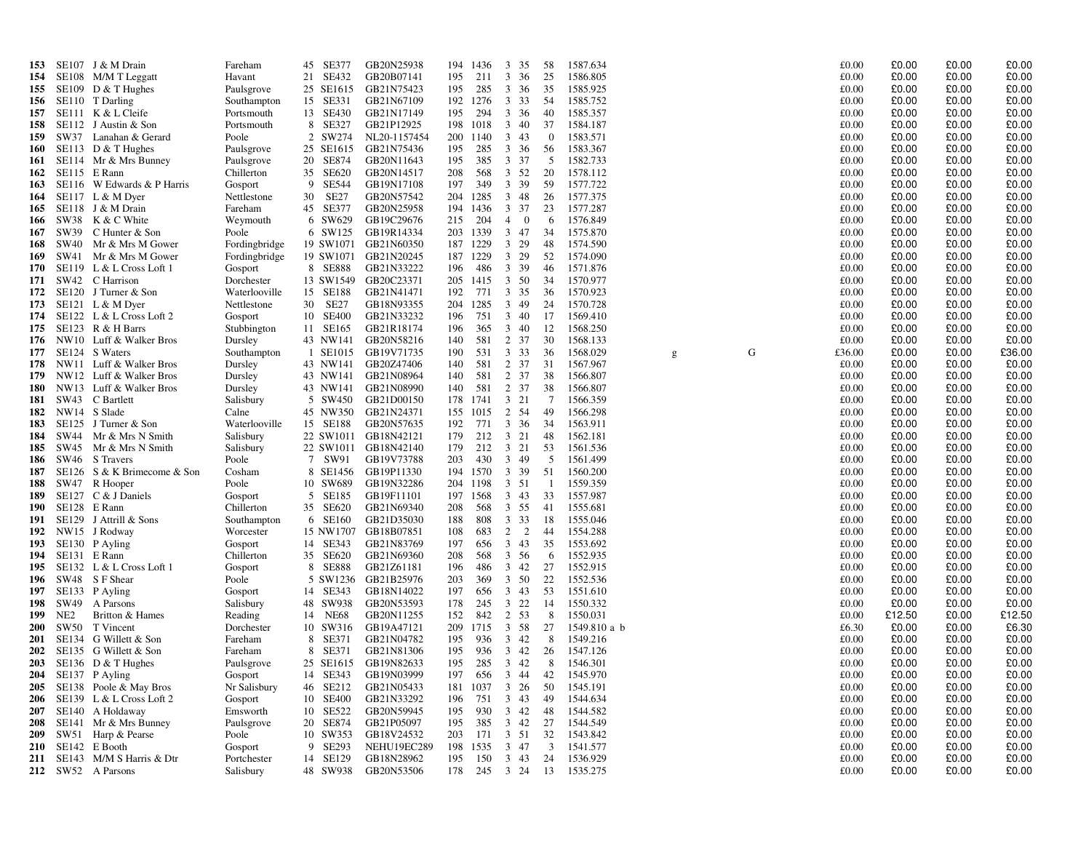| 153        |                 | SE107 J & M Drain                                  | Fareham                  | 45 SE377            | GB20N25938                        |            | 194 1436        | 3 35                                     | 58               | 1587.634                                  |   |   | £0.00          | £0.00          | £0.00          | £0.00          |
|------------|-----------------|----------------------------------------------------|--------------------------|---------------------|-----------------------------------|------------|-----------------|------------------------------------------|------------------|-------------------------------------------|---|---|----------------|----------------|----------------|----------------|
| 154        |                 | SE108 M/M T Leggatt                                | Havant                   | 21 SE432            | GB20B07141                        | 195        | -211            | 3 36                                     | 25               | 1586.805                                  |   |   | £0.00          | £0.00          | £0.00          | £0.00          |
| 155        |                 | SE109 D $&$ T Hughes                               | Paulsgrove               | 25 SE1615           | GB21N75423                        | 195        | 285             | 3 36                                     | 35               | 1585.925                                  |   |   | £0.00          | £0.00          | £0.00          | £0.00          |
| 156        |                 | SE110 T Darling                                    | Southampton              | 15 SE331            | GB21N67109                        |            | 192 1276        | 3 3 3                                    | -54              | 1585.752                                  |   |   | £0.00          | £0.00          | £0.00          | £0.00          |
| 157        |                 | SE111 K & L Cleife                                 | Portsmouth               | 13 SE430            | GB21N17149                        | 195        | 294             | 3 36                                     | 40               | 1585.357                                  |   |   | £0.00          | £0.00          | £0.00          | £0.00          |
| 158        |                 | SE112 J Austin & Son                               | Portsmouth               | 8 SE327             | GB21P12925                        |            | 198 1018        | 3 40                                     | 37               | 1584.187                                  |   |   | £0.00          | £0.00          | £0.00          | £0.00          |
| 159        |                 | SW37 Lanahan & Gerard                              | Poole                    | 2 SW274             | NL20-1157454                      |            | 200 1140        | $3 \quad 43$                             | $\boldsymbol{0}$ | 1583.571                                  |   |   | £0.00          | £0.00          | £0.00          | £0.00          |
| 160        |                 | SE113 D & T Hughes                                 | Paulsgrove               | 25 SE1615           | GB21N75436                        | 195        | 285             | 3 36                                     | -56              | 1583.367                                  |   |   | £0.00          | £0.00          | £0.00          | £0.00          |
| 161        |                 | SE114 Mr & Mrs Bunney                              | Paulsgrove               | 20 SE874            | GB20N11643                        | 195        | 385             | 3 37                                     | -5               | 1582.733                                  |   |   | £0.00          | £0.00          | £0.00          | £0.00          |
| 162        |                 | SE115 E Rann                                       | Chillerton               | 35 SE620            | GB20N14517                        | 208        | 568             | 3 52                                     | 20               | 1578.112                                  |   |   | £0.00          | £0.00          | £0.00          | £0.00          |
| 163        |                 | SE116 W Edwards & P Harris                         | Gosport                  | 9 SE544             | GB19N17108                        | 197        | 349             | 3 39                                     | 59               | 1577.722                                  |   |   | £0.00          | £0.00          | £0.00          | £0.00          |
| 164        |                 | $SE117$ L & M Dyer                                 | Nettlestone              | 30 SE27             | GB20N57542                        |            | 204 1285        | 3 48                                     | 26               | 1577.375                                  |   |   | £0.00          | £0.00          | £0.00          | £0.00          |
| 165        |                 | SE118 J & M Drain<br>SW38 K & C White              | Fareham<br>Weymouth      | 45 SE377<br>6 SW629 | GB20N25958<br>GB19C29676          | 215        | 194 1436<br>204 | 3 37<br>$\overline{4}$<br>$\overline{0}$ | 23<br>6          | 1577.287<br>1576.849                      |   |   | £0.00<br>£0.00 | £0.00<br>£0.00 | £0.00<br>£0.00 | £0.00<br>£0.00 |
| 166<br>167 |                 | SW39 C Hunter & Son                                | Poole                    | 6 SW125             | GB19R14334                        |            | 203 1339        | 3 47                                     | 34               | 1575.870                                  |   |   | £0.00          | £0.00          | £0.00          | £0.00          |
| 168        |                 | SW40 Mr & Mrs M Gower                              | Fordingbridge            |                     | 19 SW1071 GB21N60350              |            | 187 1229        | 3 29                                     | 48               | 1574.590                                  |   |   | £0.00          | £0.00          | £0.00          | £0.00          |
| 169        |                 | SW41 Mr & Mrs M Gower                              | Fordingbridge            | 19 SW1071           | GB21N20245                        |            | 187 1229        | 3 29                                     | 52               | 1574.090                                  |   |   | £0.00          | £0.00          | £0.00          | £0.00          |
| 170        |                 | $SE119$ L & L Cross Loft 1                         | Gosport                  | 8 SE888             | GB21N33222                        | 196        | 486             | 3 39                                     | 46               | 1571.876                                  |   |   | £0.00          | £0.00          | £0.00          | £0.00          |
| 171        |                 | SW42 C Harrison                                    | Dorchester               |                     | 13 SW1549 GB20C23371              |            | 205 1415        | 3 50                                     | 34               | 1570.977                                  |   |   | £0.00          | £0.00          | £0.00          | £0.00          |
| 172        |                 | SE120 J Turner & Son                               | Waterlooville            | 15 SE188            | GB21N41471                        | 192        | 771             | 3 35                                     | 36               | 1570.923                                  |   |   | £0.00          | £0.00          | £0.00          | £0.00          |
| 173        |                 | $SE121$ L & M Dyer                                 | Nettlestone              | 30 SE27             | GB18N93355                        | 204        | 1285            | 3 49                                     | 24               | 1570.728                                  |   |   | £0.00          | £0.00          | £0.00          | £0.00          |
| 174        |                 | SE122 L & L Cross Loft 2                           | Gosport                  | 10 SE400            | GB21N33232                        | 196        | 751             | 3 40                                     | 17               | 1569.410                                  |   |   | £0.00          | £0.00          | £0.00          | £0.00          |
| 175        |                 | SE123 R & H Barrs                                  | Stubbington              | 11 SE165            | GB21R18174                        | 196        | 365             | 3 40                                     | 12               | 1568.250                                  |   |   | £0.00          | £0.00          | £0.00          | £0.00          |
| 176        |                 | NW10 Luff & Walker Bros                            | Dursley                  |                     | 43 NW141 GB20N58216               | 140        | 581             | 2 37                                     | 30               | 1568.133                                  |   |   | £0.00          | £0.00          | £0.00          | £0.00          |
| 177        |                 | SE124 S Waters                                     | Southampton              |                     | 1 SE1015 GB19V71735               | 190        | 531             | 3 3 3                                    | 36               | 1568.029                                  | g | G | £36.00         | £0.00          | £0.00          | £36.00         |
| 178        |                 | NW11 Luff & Walker Bros                            | Dursley                  | 43 NW141            | GB20Z47406                        | 140        | 581             | 2 37                                     | 31               | 1567.967                                  |   |   | £0.00          | £0.00          | £0.00          | £0.00          |
| 179        |                 | NW12 Luff & Walker Bros                            | Dursley                  | 43 NW141            | GB21N08964                        | 140        | 581             | 2 37                                     | 38               | 1566.807                                  |   |   | £0.00          | £0.00          | £0.00          | £0.00          |
| 180        |                 | NW13 Luff & Walker Bros                            | Dursley                  | 43 NW141            | GB21N08990                        | 140        | 581             | 2 37                                     | 38               | 1566.807                                  |   |   | £0.00          | £0.00          | £0.00          | £0.00          |
| 181<br>182 |                 | SW43 C Bartlett<br>NW14 S Slade                    | Salisbury<br>Calne       | 5 SW450<br>45 NW350 | GB21D00150<br>GB21N24371          |            | 178 1741        | 3 21<br>2 54                             | 7                | 1566.359<br>1566.298                      |   |   | £0.00<br>£0.00 | £0.00<br>£0.00 | £0.00<br>£0.00 | £0.00<br>£0.00 |
| 183        |                 | SE125 J Turner & Son                               | Waterlooville            | 15 SE188            | GB20N57635                        | 192        | 155 1015<br>771 | 3 36                                     | 49<br>34         | 1563.911                                  |   |   | £0.00          | £0.00          | £0.00          | £0.00          |
| 184        | SW44            | Mr & Mrs N Smith                                   | Salisbury                |                     | 22 SW1011 GB18N42121              | 179        | 212             | 3 21                                     | 48               | 1562.181                                  |   |   | £0.00          | £0.00          | £0.00          | £0.00          |
| 185        |                 | SW45 Mr & Mrs N Smith                              | Salisbury                |                     | 22 SW1011 GB18N42140              | 179        | 212             | 3 21                                     | 53               | 1561.536                                  |   |   | £0.00          | £0.00          | £0.00          | £0.00          |
| 186        |                 | SW46 S Travers                                     | Poole                    | 7 SW91              | GB19V73788                        | 203        | 430             | 3 49                                     | 5                | 1561.499                                  |   |   | £0.00          | £0.00          | £0.00          | £0.00          |
| 187        |                 | SE126 S & K Brimecome & Son                        | Cosham                   |                     | 8 SE1456 GB19P11330               |            | 194 1570        | 3 39                                     | 51               | 1560.200                                  |   |   | £0.00          | £0.00          | £0.00          | £0.00          |
| 188        |                 | SW47 R Hooper                                      | Poole                    | 10 SW689            | GB19N32286                        |            | 204 1198        | 3 51                                     | -1               | 1559.359                                  |   |   | £0.00          | £0.00          | £0.00          | £0.00          |
| 189        |                 | SE127 C & J Daniels                                | Gosport                  | 5 SE185             | GB19F11101                        |            | 197 1568        | $3 \quad 43$                             | 33               | 1557.987                                  |   |   | £0.00          | £0.00          | £0.00          | £0.00          |
| 190        |                 | SE128 E Rann                                       | Chillerton               | 35 SE620            | GB21N69340                        | 208        | 568             | 3 55                                     | 41               | 1555.681                                  |   |   | £0.00          | £0.00          | £0.00          | £0.00          |
| 191        |                 | SE129 J Attrill & Sons                             | Southampton              | 6 SE160             | GB21D35030                        | 188        | 808             | 3 3 3                                    | 18               | 1555.046                                  |   |   | £0.00          | £0.00          | £0.00          | £0.00          |
| 192        |                 | NW15 J Rodway                                      | Worcester                |                     | 15 NW1707 GB18B07851              | 108        | 683             | 2 2                                      | 44               | 1554.288                                  |   |   | £0.00          | £0.00          | £0.00          | £0.00          |
| 193        |                 | SE130 P Ayling                                     | Gosport                  | 14 SE343            | GB21N83769                        | 197        | 656             | 3 43                                     | 35               | 1553.692                                  |   |   | £0.00          | £0.00          | £0.00          | £0.00          |
| 194        |                 | SE131 E Rann                                       | Chillerton               | 35 SE620            | GB21N69360                        | 208        | 568             | 3 56                                     | -6               | 1552.935                                  |   |   | £0.00          | £0.00          | £0.00          | £0.00          |
| 195        |                 | SE132 L & L Cross Loft 1                           | Gosport                  | 8 SE888             | GB21Z61181                        | 196        | 486             | 3 42                                     | 27               | 1552.915                                  |   |   | £0.00          | £0.00          | £0.00          | £0.00          |
| 196<br>197 |                 | SW48 S F Shear<br>SE133 P Ayling                   | Poole                    | 14 SE343            | 5 SW1236 GB21B25976<br>GB18N14022 | 203<br>197 | 369<br>656      | 3 50<br>$3 \quad 43$                     | 22<br>53         | 1552.536<br>1551.610                      |   |   | £0.00<br>£0.00 | £0.00<br>£0.00 | £0.00<br>£0.00 | £0.00<br>£0.00 |
| 198        | SW49            | A Parsons                                          | Gosport<br>Salisbury     | 48 SW938            | GB20N53593                        | 178        | 245             | $3\;\;22$                                | 14               | 1550.332                                  |   |   | £0.00          | £0.00          | £0.00          | £0.00          |
| 199        | NE <sub>2</sub> | Britton & Hames                                    | Reading                  | 14 NE68             | GB20N11255                        | 152        | 842             | 2 53                                     | 8                | 1550.031                                  |   |   | £0.00          | £12.50         | £0.00          | £12.50         |
| <b>200</b> |                 | SW50 T Vincent                                     | Dorchester               | 10 SW316            | GB19A47121                        |            | 209 1715        | 3 58                                     | 27               | 1549.810 a b                              |   |   | £6.30          | £0.00          | £0.00          | £6.30          |
| <b>201</b> |                 | SE134 G Willett & Son                              | Fareham                  | 8 SE371             | GB21N04782                        | 195        | 936             | 3 42                                     | 8                | 1549.216                                  |   |   | £0.00          | £0.00          | £0.00          | £0.00          |
| 202        |                 | SE135 G Willett & Son                              | Fareham                  | 8 SE371             | GB21N81306                        | 195        | 936             | 3 42                                     | 26               | 1547.126                                  |   |   | £0.00          | £0.00          | £0.00          | £0.00          |
| <b>203</b> |                 | SE136 D $&$ T Hughes                               | Paulsgrove               |                     | 25 SE1615 GB19N82633              | 195        | 285             | 3 42                                     | 8                | 1546.301                                  |   |   | £0.00          | £0.00          | £0.00          | £0.00          |
|            |                 | 204 SE137 P Ayling                                 | Gosport                  |                     | 14 SE343 GB19N03999               | 197        |                 | 656 3 44                                 | 42               | 1545.970                                  |   |   | £0.00          | £0.00          | £0.00          | £0.00          |
|            |                 | 205 SE138 Poole & May Bros                         | Nr Salisbury             |                     | 46 SE212 GB21N05433               |            |                 | 181 1037 3 26                            | 50               | 1545.191                                  |   |   | £0.00          | £0.00          | £0.00          | £0.00          |
|            |                 | 206 SE139 L & L Cross Loft 2                       | Gosport                  | 10 SE400            | GB21N33292                        | 196        | 751             | 3 43                                     | 49               | 1544.634                                  |   |   | £0.00          | £0.00          | £0.00          | £0.00          |
|            |                 | 207 SE140 A Holdaway                               | Emsworth                 | 10 SE522            | GB20N59945                        | 195        |                 | 930 3 42                                 | -48              | 1544.582                                  |   |   | £0.00          | £0.00          | £0.00          | £0.00          |
| 208        |                 | SE141 Mr & Mrs Bunney                              | Paulsgrove               | 20 SE874            | GB21P05097                        | 195        |                 | 385 3 42 27                              |                  | 1544.549                                  |   |   | £0.00          | £0.00          | £0.00          | £0.00          |
| 209        |                 | SW51 Harp & Pearse                                 | Poole                    | 10 SW353            | GB18V24532                        | 203        |                 | 171 3 51                                 | 32               | 1543.842                                  |   |   | £0.00          | £0.00          | £0.00          | £0.00          |
|            |                 | 210 SE142 E Booth                                  | Gosport                  | 9 SE293             | NEHU19EC289                       |            |                 | 198 1535 3 47                            | $\overline{3}$   | 1541.577                                  |   |   | £0.00          | £0.00          | £0.00          | £0.00          |
|            |                 | 211 SE143 M/M S Harris & Dtr<br>212 SW52 A Parsons | Portchester<br>Salisbury | 14 SE129            | GB18N28962<br>48 SW938 GB20N53506 | 195        |                 | 150 3 43                                 | 24               | 1536.929<br>178  245  3  24  13  1535.275 |   |   | £0.00<br>£0.00 | £0.00<br>£0.00 | £0.00<br>£0.00 | £0.00<br>£0.00 |
|            |                 |                                                    |                          |                     |                                   |            |                 |                                          |                  |                                           |   |   |                |                |                |                |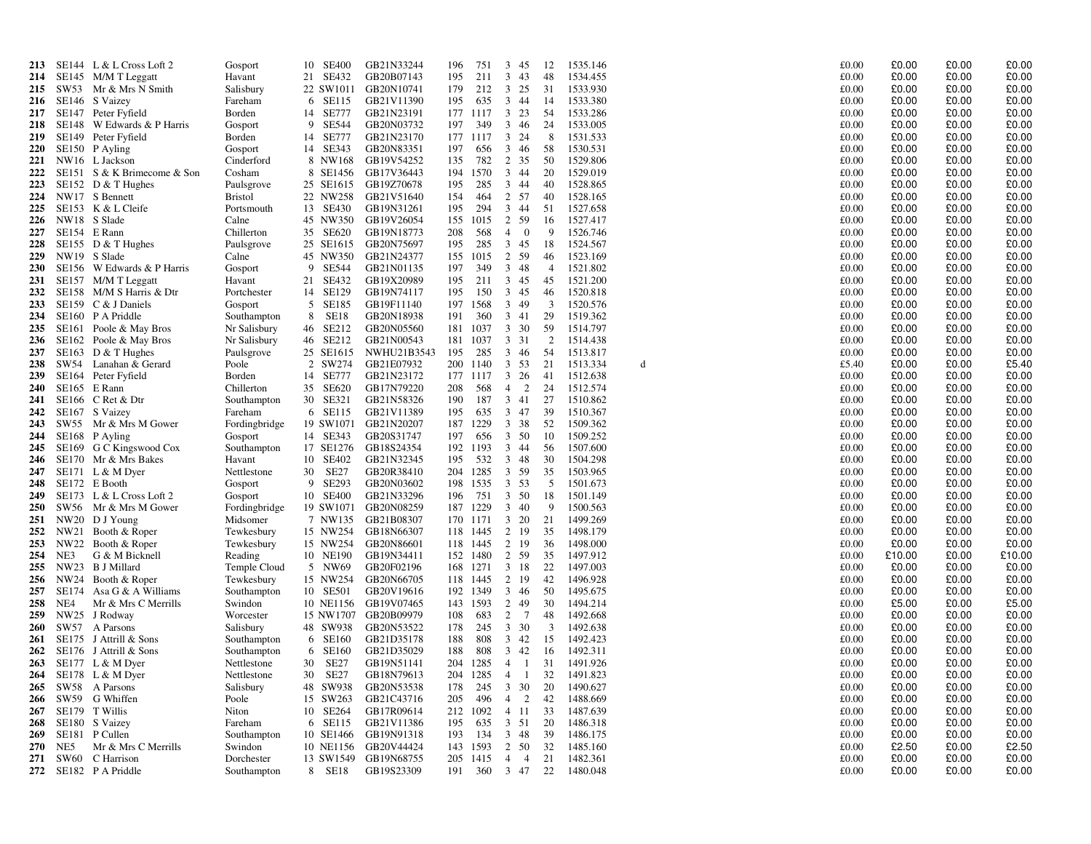| 213        |       | SE144 $L & L$ Cross Loft 2         | Gosport        | 10 SE400               | GB21N33244  | 196 | 751      | $\mathbf{3}$<br>45                        | 12             | 1535.146 |   | £0.00 | £0.00  | £0.00 | £0.00  |
|------------|-------|------------------------------------|----------------|------------------------|-------------|-----|----------|-------------------------------------------|----------------|----------|---|-------|--------|-------|--------|
| 214        |       | SE145 M/M T Leggatt                | Havant         | 21 SE432               | GB20B07143  | 195 | 211      | 3<br>43                                   | 48             | 1534.455 |   | £0.00 | £0.00  | £0.00 | £0.00  |
| 215        | SW53  | Mr & Mrs N Smith                   | Salisbury      | 22 SW1011              | GB20N10741  | 179 | 212      | $\overline{3}$<br>25                      | 31             | 1533.930 |   | £0.00 | £0.00  | £0.00 | £0.00  |
| 216        |       | SE146 S Vaizey                     | Fareham        | 6 SE115                | GB21V11390  | 195 | 635      | $\overline{3}$<br>44                      | 14             | 1533.380 |   | £0.00 | £0.00  | £0.00 | £0.00  |
| 217        |       | SE147 Peter Fyfield                | Borden         | 14 SE777               | GB21N23191  |     | 177 1117 | $\mathbf{3}$<br>23                        | 54             | 1533.286 |   | £0.00 | £0.00  | £0.00 | £0.00  |
| 218        |       | SE148 W Edwards & P Harris         | Gosport        | 9 SE544                | GB20N03732  | 197 | 349      | $\mathbf{3}$<br>46                        | 24             | 1533.005 |   | £0.00 | £0.00  | £0.00 | £0.00  |
| 219        |       | SE149 Peter Fyfield                | Borden         | 14 SE777               | GB21N23170  |     | 177 1117 | $\mathbf{3}$<br>24                        | 8              | 1531.533 |   | £0.00 | £0.00  | £0.00 | £0.00  |
| <b>220</b> |       |                                    |                | 14 SE343               |             | 197 | 656      | $\mathbf{3}$<br>46                        |                | 1530.531 |   |       | £0.00  | £0.00 | £0.00  |
|            |       | SE150 P Ayling                     | Gosport        |                        | GB20N83351  |     |          |                                           | 58             |          |   | £0.00 | £0.00  | £0.00 |        |
| 221        |       | NW16 L Jackson                     | Cinderford     | 8 NW168                | GB19V54252  | 135 | 782      | 2 35                                      | 50             | 1529.806 |   | £0.00 |        | £0.00 | £0.00  |
| 222        |       | SE151 S & K Brimecome & Son        | Cosham         | 8 SE1456               | GB17V36443  | 194 | 1570     | 3 44                                      | 20             | 1529.019 |   | £0.00 | £0.00  |       | £0.00  |
| 223        |       | SE152 D $<$ T Hughes               | Paulsgrove     | 25 SE1615              | GB19Z70678  | 195 | 285      | 3 44                                      | 40             | 1528.865 |   | £0.00 | £0.00  | £0.00 | £0.00  |
| 224        |       | NW17 S Bennett                     | <b>Bristol</b> | 22 NW258               | GB21V51640  | 154 | 464      | 2 57                                      | 40             | 1528.165 |   | £0.00 | £0.00  | £0.00 | £0.00  |
| 225        |       | SE153 K & L Cleife                 | Portsmouth     | 13 SE430               | GB19N31261  | 195 | 294      | $\mathbf{3}$<br>44                        | 51             | 1527.658 |   | £0.00 | £0.00  | £0.00 | £0.00  |
| 226        |       | NW18 S Slade                       | Calne          | 45 NW350               | GB19V26054  | 155 | 1015     | 2 59                                      | 16             | 1527.417 |   | £0.00 | £0.00  | £0.00 | £0.00  |
| 227        |       | SE154 E Rann                       | Chillerton     | 35 SE620               | GB19N18773  | 208 | 568      | $\overline{4}$<br>$\overline{\mathbf{0}}$ | -9             | 1526.746 |   | £0.00 | £0.00  | £0.00 | £0.00  |
| 228        |       | SE155 $D & T$ Hughes               | Paulsgrove     | 25 SE1615              | GB20N75697  | 195 | 285      | 3 45                                      | 18             | 1524.567 |   | £0.00 | £0.00  | £0.00 | £0.00  |
| 229        |       | NW19 S Slade                       | Calne          | 45 NW350               | GB21N24377  | 155 | 1015     | 2 59                                      | 46             | 1523.169 |   | £0.00 | £0.00  | £0.00 | £0.00  |
| <b>230</b> |       | SE156 W Edwards & P Harris         | Gosport        | 9 SE544                | GB21N01135  | 197 | 349      | 3 48                                      | $\overline{4}$ | 1521.802 |   | £0.00 | £0.00  | £0.00 | £0.00  |
| 231        |       | SE157 M/M T Leggatt                | Havant         | 21 SE432               | GB19X20989  | 195 | 211      | 3 45                                      | 45             | 1521.200 |   | £0.00 | £0.00  | £0.00 | £0.00  |
| 232        |       | SE158 M/M S Harris & Dtr           | Portchester    | 14 SE129               | GB19N74117  | 195 | 150      | $3\quad 45$                               | 46             | 1520.818 |   | £0.00 | £0.00  | £0.00 | £0.00  |
| 233        |       | SE159 C & J Daniels                | Gosport        | 5<br>SE185             | GB19F11140  | 197 | 1568     | 49<br>$\mathbf{3}$                        | 3              | 1520.576 |   | £0.00 | £0.00  | £0.00 | £0.00  |
| 234        |       | SE160 P A Priddle                  | Southampton    | <b>SE18</b><br>8       | GB20N18938  | 191 | 360      | $3 \quad 41$                              | 29             | 1519.362 |   | £0.00 | £0.00  | £0.00 | £0.00  |
| 235        |       | SE161 Poole & May Bros             | Nr Salisbury   | 46<br>SE212            | GB20N05560  | 181 | 1037     | 3 30                                      | 59             | 1514.797 |   | £0.00 | £0.00  | £0.00 | £0.00  |
| 236        |       | SE162 Poole & May Bros             | Nr Salisbury   | 46 SE212               | GB21N00543  | 181 | 1037     | 3 3 1                                     | $\overline{2}$ | 1514.438 |   | £0.00 | £0.00  | £0.00 | £0.00  |
| 237        |       | SE163 D & T Hughes                 | Paulsgrove     | 25 SE1615              | NWHU21B3543 | 195 | 285      | $\mathbf{3}$<br>46                        | 54             | 1513.817 |   | £0.00 | £0.00  | £0.00 | £0.00  |
| 238        |       | SW54 Lanahan & Gerard              | Poole          | 2 SW274                | GB21E07932  | 200 | 1140     | 3 53                                      | 21             | 1513.334 | d | £5.40 | £0.00  | £0.00 | £5.40  |
| 239        |       | SE164 Peter Fyfield                | Borden         | 14 SE777               | GB21N23172  |     | 177 1117 | $3\quad 26$                               | 41             | 1512.638 |   | £0.00 | £0.00  | £0.00 | £0.00  |
| <b>240</b> |       | SE165 E Rann                       | Chillerton     | 35 SE620               | GB17N79220  | 208 | 568      | $\overline{2}$<br>$\overline{4}$          | 24             | 1512.574 |   | £0.00 | £0.00  | £0.00 | £0.00  |
| 241        |       | SE166 C Ret & Dtr                  | Southampton    | 30 SE321               | GB21N58326  | 190 | 187      | 3<br>41                                   | 27             | 1510.862 |   | £0.00 | £0.00  | £0.00 | £0.00  |
| 242        |       | SE167 S Vaizey                     | Fareham        | 6 SE115                | GB21V11389  | 195 | 635      | 3 47                                      | 39             | 1510.367 |   | £0.00 | £0.00  | £0.00 | £0.00  |
| 243        |       | SW55 Mr & Mrs M Gower              | Fordingbridge  | 19 SW1071              | GB21N20207  | 187 | 1229     | 3 38                                      | 52             | 1509.362 |   | £0.00 | £0.00  | £0.00 | £0.00  |
| 244        |       | SE168 P Ayling                     | Gosport        | 14 SE343               | GB20S31747  | 197 | 656      | $\mathbf{3}$<br>50                        | 10             | 1509.252 |   | £0.00 | £0.00  | £0.00 | £0.00  |
| 245        |       | SE169 G C Kingswood Cox            | Southampton    | 17 SE1276              | GB18S24354  | 192 | 1193     | 3<br>44                                   | 56             | 1507.600 |   | £0.00 | £0.00  | £0.00 | £0.00  |
| 246        |       | SE170 Mr & Mrs Bakes               | Havant         | 10 SE402               | GB21N32345  | 195 | 532      | $3 \quad 48$                              | 30             | 1504.298 |   | £0.00 | £0.00  | £0.00 | £0.00  |
| 247        |       | $SE171 \text{ L} \& \text{M Dyer}$ | Nettlestone    | 30<br>SE27             | GB20R38410  | 204 | 1285     | 3 59                                      | 35             | 1503.965 |   | £0.00 | £0.00  | £0.00 | £0.00  |
| 248        |       | SE172 E Booth                      | Gosport        | 9 SE293                | GB20N03602  | 198 | 1535     | 3 53                                      | 5              | 1501.673 |   | £0.00 | £0.00  | £0.00 | £0.00  |
| 249        |       | SE173 L & L Cross Loft 2           | Gosport        | 10 SE400               | GB21N33296  | 196 | 751      | 3 50                                      | 18             | 1501.149 |   | £0.00 | £0.00  | £0.00 | £0.00  |
| 250        |       | SW56 Mr & Mrs M Gower              | Fordingbridge  | 19 SW1071              | GB20N08259  | 187 | 1229     | 40<br>$\mathbf{3}$                        | -9             | 1500.563 |   | £0.00 | £0.00  | £0.00 | £0.00  |
| 251        | NW20  | D J Young                          | Midsomer       | 7 NW135                | GB21B08307  | 170 | 1171     | 3 20                                      | 21             | 1499.269 |   | £0.00 | £0.00  | £0.00 | £0.00  |
| 252        | NW21  | Booth & Roper                      | Tewkesbury     | 15 NW254               | GB18N66307  |     | 118 1445 | 2 19                                      | 35             | 1498.179 |   | £0.00 | £0.00  | £0.00 | £0.00  |
| 253        |       | NW22 Booth & Roper                 | Tewkesbury     | 15 NW254               | GB20N86601  | 118 | 1445     | $\overline{2}$<br>19                      | 36             | 1498.000 |   | £0.00 | £0.00  | £0.00 | £0.00  |
| 254        | NE3   | G & M Bicknell                     | Reading        | 10 NE190               | GB19N34411  | 152 | 1480     | 2 59                                      | 35             | 1497.912 |   | £0.00 | £10.00 | £0.00 | £10.00 |
| 255        | NW23  | B J Millard                        | Temple Cloud   | 5 NW69                 | GB20F02196  | 168 | 1271     | 3 18                                      | 22             | 1497.003 |   | £0.00 | £0.00  | £0.00 | £0.00  |
| 256        | NW24  | Booth & Roper                      | Tewkesbury     | 15 NW254               | GB20N66705  | 118 | 1445     | 2 19                                      | 42             | 1496.928 |   | £0.00 | £0.00  | £0.00 | £0.00  |
| 257        |       | SE174 Asa G & A Williams           | Southampton    | 10 SE501               | GB20V19616  | 192 | 1349     | $3\quad 46$                               | 50             | 1495.675 |   | £0.00 | £0.00  | £0.00 | £0.00  |
| 258        | NE4   | Mr & Mrs C Merrills                | Swindon        | 10 NE1156              | GB19V07465  | 143 | 1593     | 49<br>2                                   | 30             | 1494.214 |   | £0.00 | £5.00  | £0.00 | £5.00  |
|            | NW25  |                                    |                | 15 NW1707              | GB20B09979  |     |          | 2<br>$7\phantom{.0}$                      |                | 1492.668 |   | £0.00 | £0.00  | £0.00 | £0.00  |
| 259        |       | J Rodway                           | Worcester      |                        |             | 108 | 683      |                                           | 48             |          |   |       |        |       |        |
| 260        |       | SW57 A Parsons                     | Salisbury      | 48 SW938               | GB20N53522  | 178 | 245      | 3 30                                      | 3              | 1492.638 |   | £0.00 | £0.00  | £0.00 | £0.00  |
| 261        |       | SE175 J Attrill & Sons             | Southampton    | 6 SE160                | GB21D35178  | 188 | 808      | $3 \t 42$                                 | 15             | 1492.423 |   | £0.00 | £0.00  | £0.00 | £0.00  |
| 262        |       | SE176 J Attrill & Sons             | Southampton    | 6 SE160                | GB21D35029  | 188 | 808      | $3 \quad 42$                              | 16             | 1492.311 |   | £0.00 | £0.00  | £0.00 | £0.00  |
| 263        |       | SE177 L & M Dyer                   | Nettlestone    | SE27<br>30             | GB19N51141  | 204 | 1285     | $\overline{4}$<br>$\overline{1}$          | 31             | 1491.926 |   | £0.00 | £0.00  | £0.00 | £0.00  |
| 264        |       | SE178 L & M Dyer                   | Nettlestone    | SE <sub>27</sub><br>30 | GB18N79613  | 204 | 1285     | $\overline{4}$<br>- 1                     | 32             | 1491.823 |   | £0.00 | £0.00  | £0.00 | £0.00  |
| 265        | SW58  | A Parsons                          | Salisbury      | 48 SW938               | GB20N53538  | 178 | 245      | 3 30                                      | 20             | 1490.627 |   | £0.00 | £0.00  | £0.00 | £0.00  |
| 266        |       | SW59 G Whiffen                     | Poole          | 15 SW263               | GB21C43716  | 205 | 496      | 2<br>$\overline{4}$                       | 42             | 1488.669 |   | £0.00 | £0.00  | £0.00 | £0.00  |
| 267        |       | SE179 T Willis                     | Niton          | 10 SE264               | GB17R09614  | 212 | 1092     | 4 11                                      | 33             | 1487.639 |   | £0.00 | £0.00  | £0.00 | £0.00  |
| 268        |       | SE180 S Vaizey                     | Fareham        | 6 SE115                | GB21V11386  | 195 | 635      | 3 51                                      | 20             | 1486.318 |   | £0.00 | £0.00  | £0.00 | £0.00  |
| 269        | SE181 | P Cullen                           | Southampton    | 10 SE1466              | GB19N91318  | 193 | 134      | $3 \quad 48$                              | 39             | 1486.175 |   | £0.00 | £0.00  | £0.00 | £0.00  |
| 270        | NE5   | Mr & Mrs C Merrills                | Swindon        | 10 NE1156              | GB20V44424  | 143 | 1593     | 2<br>50                                   | 32             | 1485.160 |   | £0.00 | £2.50  | £0.00 | £2.50  |
| 271        |       | SW60 C Harrison                    | Dorchester     | 13 SW1549              | GB19N68755  | 205 | 1415     | $\overline{4}$<br>$\overline{4}$          | 21             | 1482.361 |   | £0.00 | £0.00  | £0.00 | £0.00  |
| 272        |       | SE182 P A Priddle                  | Southampton    | 8 SE18                 | GB19S23309  | 191 | 360      | 3 47                                      | 22             | 1480.048 |   | £0.00 | £0.00  | £0.00 | £0.00  |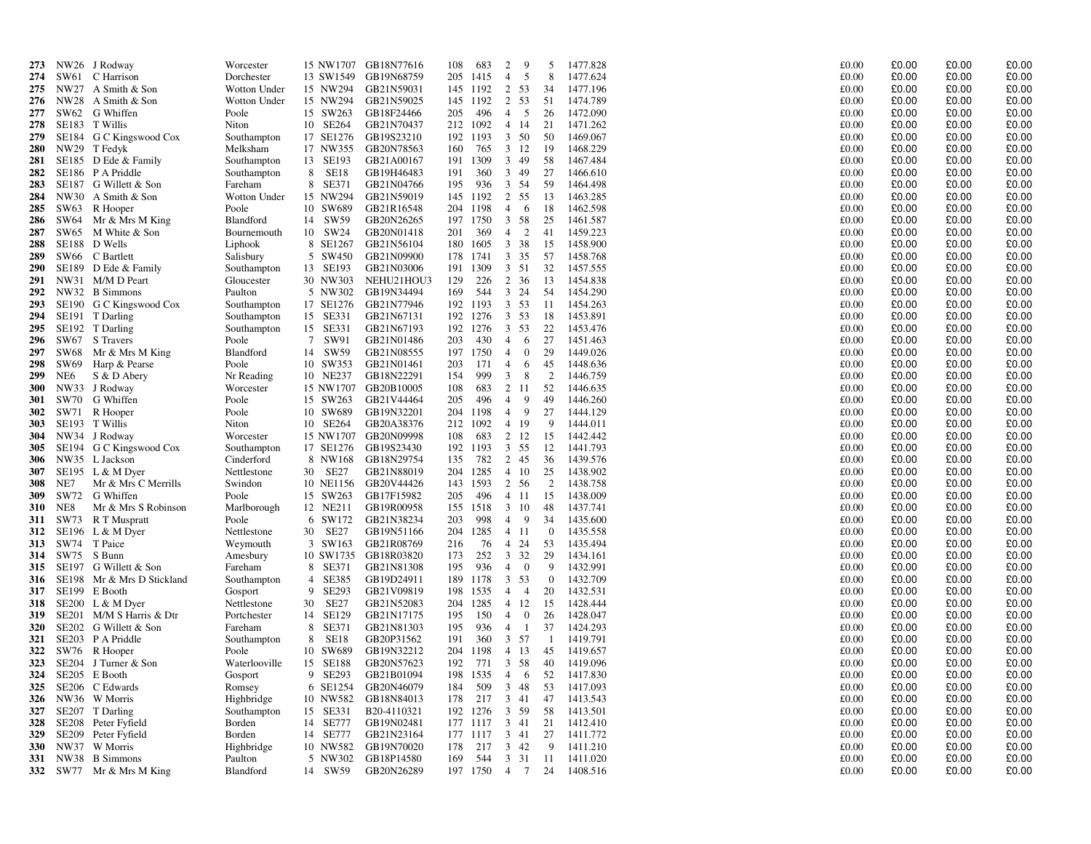| 273        |                 | NW26 J Rodway            | Worcester     |                         | 15 NW1707 GB18N77616 | 108        | 683      | 9<br>2                           | 5              | 1477.828 | £0.00         | £0.00 | £0.00 | £0.00   |
|------------|-----------------|--------------------------|---------------|-------------------------|----------------------|------------|----------|----------------------------------|----------------|----------|---------------|-------|-------|---------|
| 274        | SW61            | C Harrison               | Dorchester    | 13 SW1549               | GB19N68759           | 205        | 1415     | $\overline{4}$<br>5              | 8              | 1477.624 | £0.00         | £0.00 | £0.00 | £0.00   |
| 275        |                 | NW27 A Smith & Son       | Wotton Under  | 15 NW294                | GB21N59031           |            | 145 1192 | 2<br>53                          | 34             | 1477.196 | £0.00         | £0.00 | £0.00 | £0.00   |
| 276        |                 | NW28 A Smith & Son       | Wotton Under  | 15 NW294                | GB21N59025           |            | 145 1192 | $\overline{2}$<br>53             | 51             | 1474.789 | $\pounds0.00$ | £0.00 | £0.00 | £0.00   |
| 277        |                 | SW62 G Whiffen           | Poole         | 15 SW263                | GB18F24466           | 205        | 496      | 5<br>$\overline{4}$              | 26             | 1472.090 | £0.00         | £0.00 | £0.00 | £0.00   |
| 278        |                 | SE183 T Willis           | Niton         | 10 SE264                | GB21N70437           |            | 212 1092 | 4 14                             | 21             | 1471.262 | £0.00         | £0.00 | £0.00 | £0.00   |
| 279        |                 | SE184 G C Kingswood Cox  | Southampton   | 17 SE1276               | GB19S23210           |            | 192 1193 | $3 \t 50$                        | 50             | 1469.067 | £0.00         | £0.00 | £0.00 | £0.00   |
| 280        |                 | NW29 T Fedyk             | Melksham      | 17 NW355                | GB20N78563           | 160        | 765      | 3 12                             | -19            | 1468.229 | £0.00         | £0.00 | £0.00 | £0.00   |
| 281        |                 | SE185 D Ede & Family     | Southampton   | 13 SE193                | GB21A00167           | 191        | 1309     | 3 49                             | 58             | 1467.484 | £0.00         | £0.00 | £0.00 | £0.00   |
| 282        |                 | SE186 P A Priddle        | Southampton   | <b>SE18</b><br>8        | GB19H46483           | 191        | 360      | 3 49                             | 27             | 1466.610 | £0.00         | £0.00 | £0.00 | £0.00   |
| 283        |                 | SE187 G Willett & Son    | Fareham       | 8 SE371                 | GB21N04766           | 195        | 936      | 3 54                             | 59             | 1464.498 | £0.00         | £0.00 | £0.00 | £0.00   |
| 284        |                 | NW30 A Smith & Son       | Wotton Under  | 15 NW294                | GB21N59019           |            | 145 1192 | $\overline{2}$<br>55             | 13             | 1463.285 | £0.00         | £0.00 | £0.00 | £0.00   |
| 285        |                 |                          | Poole         | 10 SW689                | GB21R16548           | 204        | 1198     | $\overline{4}$<br>- 6            | 18             | 1462.598 | £0.00         | £0.00 | £0.00 | £0.00   |
|            |                 | SW63 R Hooper            |               | 14 SW59                 | GB20N26265           |            | 1750     | 3 58                             |                | 1461.587 | £0.00         | £0.00 | £0.00 | £0.00   |
| 286        |                 | SW64 Mr & Mrs M King     | Blandford     |                         |                      | 197<br>201 | 369      | 2                                | 25             | 1459.223 |               | £0.00 | £0.00 | £0.00   |
| 287        |                 | SW65 M White & Son       | Bournemouth   | 10 SW24                 | GB20N01418           |            |          | $\overline{4}$<br>38             | 41             |          | £0.00         |       |       |         |
| 288        |                 | SE188 D Wells            | Liphook       | 8 SE1267                | GB21N56104           | 180        | 1605     | $\mathbf{3}$                     | 15             | 1458.900 | £0.00         | £0.00 | £0.00 | £0.00   |
| 289        |                 | SW66 C Bartlett          | Salisbury     | 5 SW450                 | GB21N09900           | 178        | 1741     | $3 \t35$                         | 57             | 1458.768 | £0.00         | £0.00 | £0.00 | £0.00   |
| <b>290</b> | SE189           | D Ede & Family           | Southampton   | 13 SE193                | GB21N03006           | 191        | 1309     | 3 51                             | 32             | 1457.555 | £0.00         | £0.00 | £0.00 | £0.00   |
| 291        |                 | NW31 M/M D Peart         | Gloucester    | 30 NW303                | NEHU21HOU3           | 129        | 226      | 2 36                             | 13             | 1454.838 | £0.00         | £0.00 | £0.00 | £0.00   |
| 292        |                 | NW32 B Simmons           | Paulton       | 5 NW302                 | GB19N34494           | 169        | 544      | $3 \t24$                         | 54             | 1454.290 | £0.00         | £0.00 | £0.00 | £0.00   |
| 293        |                 | SE190 G C Kingswood Cox  | Southampton   | 17 SE1276               | GB21N77946           | 192        | 1193     | $3 \t 53$                        | 11             | 1454.263 | £0.00         | £0.00 | £0.00 | £0.00   |
| 294        |                 | SE191 T Darling          | Southampton   | 15 SE331                | GB21N67131           | 192        | 1276     | 3 53                             | 18             | 1453.891 | £0.00         | £0.00 | £0.00 | £0.00   |
| 295        |                 | SE192 T Darling          | Southampton   | 15 SE331                | GB21N67193           | 192        | 1276     | 3 53                             | 22             | 1453.476 | £0.00         | £0.00 | £0.00 | £0.00   |
| 296        |                 | SW67 S Travers           | Poole         | 7 SW91                  | GB21N01486           | 203        | 430      | $\overline{4}$<br>6              | 27             | 1451.463 | £0.00         | £0.00 | £0.00 | £0.00   |
| 297        |                 | SW68 Mr & Mrs M King     | Blandford     | 14 SW59                 | GB21N08555           |            | 197 1750 | $\overline{4}$<br>$\overline{0}$ | 29             | 1449.026 | £0.00         | £0.00 | £0.00 | £0.00   |
| 298        | SW69            | Harp & Pearse            | Poole         | 10 SW353                | GB21N01461           | 203        | 171      | $\overline{4}$<br>6              | 45             | 1448.636 | £0.00         | £0.00 | £0.00 | £0.00   |
| 299        | NE <sub>6</sub> | S & D Abery              | Nr Reading    | 10 NE237                | GB18N22291           | 154        | 999      | $\overline{3}$<br>8              | $\overline{2}$ | 1446.759 | £0.00         | £0.00 | £0.00 | £0.00   |
| <b>300</b> |                 | NW33 J Rodway            | Worcester     |                         | 15 NW1707 GB20B10005 | 108        | 683      | 2 11                             | 52             | 1446.635 | £0.00         | £0.00 | £0.00 | £0.00   |
| 301        |                 | SW70 G Whiffen           | Poole         | 15 SW263                | GB21V44464           | 205        | 496      | 9<br>$\overline{4}$              | 49             | 1446.260 | £0.00         | £0.00 | £0.00 | £0.00   |
| 302        |                 | SW71 R Hooper            | Poole         | 10 SW689                | GB19N32201           | 204        | 1198     | 9<br>$\overline{4}$              | 27             | 1444.129 | £0.00         | £0.00 | £0.00 | £0.00   |
| 303        |                 | SE193 T Willis           | Niton         | 10 SE264                | GB20A38376           |            | 212 1092 | 4 19                             | 9              | 1444.011 | £0.00         | £0.00 | £0.00 | £0.00   |
| 304        |                 | NW34 J Rodway            | Worcester     |                         | 15 NW1707 GB20N09998 | 108        | 683      | 2 12                             | 15             | 1442.442 | £0.00         | £0.00 | £0.00 | £0.00   |
| 305        |                 | SE194 G C Kingswood Cox  | Southampton   |                         | 17 SE1276 GB19S23430 |            | 192 1193 | $\mathbf{3}$<br>55               | 12             | 1441.793 | £0.00         | £0.00 | £0.00 | £0.00   |
| 306        |                 | NW35 L Jackson           | Cinderford    | 8 NW168                 | GB18N29754           | 135        | 782      | 2 45                             | 36             | 1439.576 | £0.00         | £0.00 | £0.00 | £0.00   |
| 307        |                 | SE195 $L & M$ Dyer       | Nettlestone   | 30 SE27                 | GB21N88019           | 204        | 1285     | 4 10                             | 25             | 1438.902 | £0.00         | £0.00 | £0.00 | £0.00   |
| 308        | NE7             | Mr & Mrs C Merrills      | Swindon       |                         | 10 NE1156 GB20V44426 |            | 143 1593 | 2 56                             | 2              | 1438.758 | £0.00         | £0.00 | £0.00 | $£0.00$ |
| 309        |                 | SW72 G Whiffen           | Poole         | 15 SW263                | GB17F15982           | 205        | 496      | 4 11                             | 15             | 1438.009 | £0.00         | £0.00 | £0.00 | £0.00   |
| 310        | NE8             | Mr & Mrs S Robinson      | Marlborough   | 12 NE211                | GB19R00958           | 155        | 1518     | 3 10                             | 48             | 1437.741 | £0.00         | £0.00 | £0.00 | £0.00   |
| 311        |                 | SW73 R T Muspratt        | Poole         | 6 SW172                 | GB21N38234           | 203        | 998      | - 9<br>4                         | 34             | 1435.600 | £0.00         | £0.00 | £0.00 | £0.00   |
| 312        |                 | SE196 $L & M$ Dyer       | Nettlestone   | 30<br>SE27              | GB19N51166           | 204        | 1285     | 4 11                             | $\overline{0}$ | 1435.558 | £0.00         | £0.00 | £0.00 | £0.00   |
| 313        |                 | SW74 T Paice             | Weymouth      | 3 SW163                 | GB21R08769           | 216        | 76       | 4 24                             | 53             | 1435.494 | £0.00         | £0.00 | £0.00 | £0.00   |
| 314        |                 | SW75 S Bunn              | Amesbury      | 10 SW1735               | GB18R03820           | 173        | 252      | 3 3 2                            | 29             | 1434.161 | £0.00         | £0.00 | £0.00 | £0.00   |
| 315        |                 | SE197 G Willett & Son    | Fareham       | 8 SE371                 | GB21N81308           | 195        | 936      | $\overline{0}$<br>$\overline{4}$ | 9              | 1432.991 | £0.00         | £0.00 | £0.00 | £0.00   |
| 316        | SE198           | Mr & Mrs D Stickland     | Southampton   | SE385<br>$\overline{4}$ | GB19D24911           | 189        | 1178     | 3 53                             | $\overline{0}$ | 1432.709 | £0.00         | £0.00 | £0.00 | £0.00   |
| 317        |                 | SE199 E Booth            | Gosport       | SE293<br>9              | GB21V09819           | 198        | 1535     | $4\quad 4$                       | 20             | 1432.531 | £0.00         | £0.00 | £0.00 | £0.00   |
| 318        |                 | $SE200$ L & M Dyer       | Nettlestone   | 30<br>SE27              | GB21N52083           | 204        | 1285     | 4 12                             | 15             | 1428.444 | £0.00         | £0.00 | £0.00 | £0.00   |
| 319        |                 | SE201 M/M S Harris & Dtr | Portchester   | SE129<br>14             | GB21N17175           | 195        | 150      | $\overline{0}$<br>$\overline{4}$ | 26             | 1428.047 | £0.00         | £0.00 | £0.00 | £0.00   |
| 320        |                 | SE202 G Willett & Son    | Fareham       | SE371<br>8              | GB21N81303           | 195        | 936      | $\overline{4}$<br>$\overline{1}$ | 37             | 1424.293 | £0.00         | £0.00 | £0.00 | £0.00   |
| 321        |                 | SE203 P A Priddle        | Southampton   | <b>SE18</b><br>8        | GB20P31562           | 191        | 360      | 3 57                             | - 1            | 1419.791 | £0.00         | £0.00 | £0.00 | £0.00   |
| 322        |                 | SW76 R Hooper            | Poole         | 10 SW689                | GB19N32212           | 204        | 1198     | 4 13                             | 45             | 1419.657 | £0.00         | £0.00 | £0.00 | £0.00   |
| 323        |                 | SE204 J Turner & Son     | Waterlooville | 15 SE188                | GB20N57623           | 192        | 771      | 3 58                             | 40             | 1419.096 | £0.00         | £0.00 | £0.00 | £0.00   |
| 324        |                 | SE205 E Booth            | Gosport       | 9 SE293                 | GB21B01094           | 198        | 1535     | $\overline{4}$<br>- 6            | 52             | 1417.830 | £0.00         | £0.00 | £0.00 | £0.00   |
| 325        |                 | SE206 C Edwards          | Romsey        | 6 SE1254                | GB20N46079           | 184        | 509      | 3 48                             | 53             | 1417.093 | £0.00         | £0.00 | £0.00 | £0.00   |
| 326        |                 | NW36 W Morris            | Highbridge    | 10 NW582                | GB18N84013           | 178        | 217      | 3 41                             | 47             | 1413.543 | £0.00         | £0.00 | £0.00 | £0.00   |
| 327        |                 | SE207 T Darling          | Southampton   | 15 SE331                | B20-4110321          | 192        | 1276     | 3 59                             | 58             | 1413.501 | £0.00         | £0.00 | £0.00 | £0.00   |
| 328        |                 | SE208 Peter Fyfield      | Borden        | 14 SE777                | GB19N02481           | 177        | 1117     | 3 41                             | 21             | 1412.410 | £0.00         | £0.00 | £0.00 | £0.00   |
| 329        | SE209           | Peter Fyfield            | Borden        | 14 SE777                | GB21N23164           |            | 177 1117 | $3 \quad 41$                     | 27             | 1411.772 | £0.00         | £0.00 | £0.00 | £0.00   |
| <b>330</b> |                 | NW37 W Morris            | Highbridge    | 10 NW582                | GB19N70020           | 178        | 217      | $3 \t 42$                        | 9              | 1411.210 | £0.00         | £0.00 | £0.00 | £0.00   |
| 331        |                 | NW38 B Simmons           | Paulton       | 5 NW302                 | GB18P14580           | 169        | 544      | 3 3 1                            | -11            | 1411.020 | £0.00         | £0.00 | £0.00 | £0.00   |
|            |                 | 332 SW77 Mr & Mrs M King | Blandford     | 14 SW59                 | GB20N26289           |            | 197 1750 | 4 7                              | 24             | 1408.516 | £0.00         | £0.00 | £0.00 | £0.00   |
|            |                 |                          |               |                         |                      |            |          |                                  |                |          |               |       |       |         |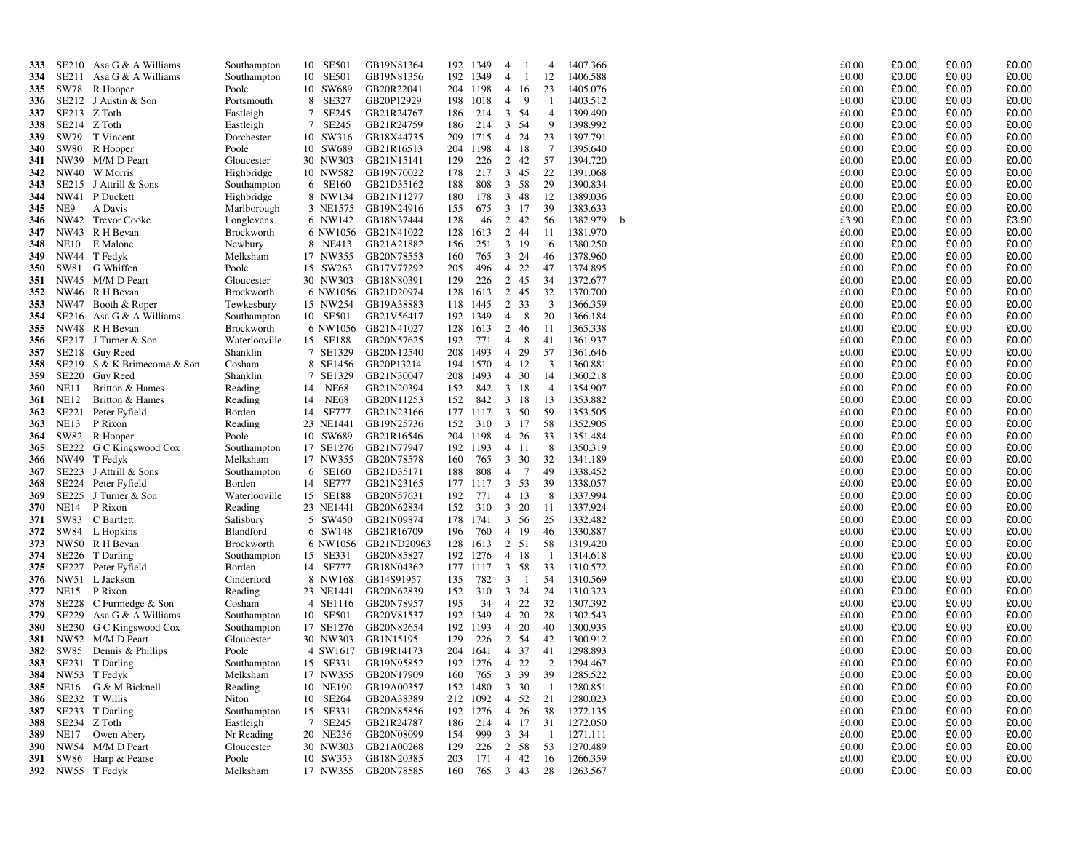| 333        |                  | SE210 Asa G & A Williams         | Southampton                    | 10 SE501             | GB19N81364                         | 192        | 1349          | $\overline{4}$ |                  | $\overline{4}$ | 1407.366                 |   | £0.00          | £0.00          | £0.00          | £0.00          |
|------------|------------------|----------------------------------|--------------------------------|----------------------|------------------------------------|------------|---------------|----------------|------------------|----------------|--------------------------|---|----------------|----------------|----------------|----------------|
| 334        |                  | SE211 Asa G & A Williams         | Southampton                    | 10 SE501             | GB19N81356                         |            | 192 1349      | $\overline{4}$ | -1               | 12             | 1406.588                 |   | £0.00          | £0.00          | £0.00          | £0.00          |
| 335        |                  | SW78 R Hooper                    | Poole                          | 10 SW689             | GB20R22041                         |            | 204 1198      |                | 4 16             | 23             | 1405.076                 |   | £0.00          | £0.00          | £0.00          | £0.00          |
| 336        |                  | SE212 J Austin & Son             | Portsmouth                     | 8 SE327              | GB20P12929                         |            | 198 1018      |                | $4\quad 9$       | -1             | 1403.512                 |   | £0.00          | £0.00          | £0.00          | £0.00          |
| 337        | SE213 Z Toth     |                                  | Eastleigh                      | 7 SE245              | GB21R24767                         | 186        | 214           |                | 3 54             | $\overline{4}$ | 1399.490                 |   | £0.00          | £0.00          | £0.00          | £0.00          |
| 338        | SE214 Z Toth     |                                  | Eastleigh                      | 7 SE245              | GB21R24759                         | 186        | 214           |                | 3 54             | -9             | 1398.992                 |   | £0.00          | £0.00          | £0.00          | £0.00          |
| 339        | SW79             | T Vincent                        | Dorchester                     | 10 SW316             | GB18X44735                         | 209        | 1715          |                | 4 24             | 23             | 1397.791                 |   | £0.00          | £0.00          | £0.00          | £0.00          |
| 340        |                  | SW80 R Hooper                    | Poole                          | 10 SW689             | GB21R16513                         | 204        | 1198          |                | 4 18             | -7             | 1395.640                 |   | £0.00          | £0.00          | £0.00          | £0.00          |
| 341        |                  | NW39 M/M D Peart                 | Gloucester                     | 30 NW303             | GB21N15141                         | 129        | 226           |                | 2 42             | 57             | 1394.720                 |   | £0.00          | £0.00          | £0.00          | £0.00          |
| 342        |                  | NW40 W Morris                    | Highbridge                     | 10 NW582             | GB19N70022                         | 178        | 217           |                | 3 45             | 22             | 1391.068                 |   | £0.00          | £0.00          | £0.00          | £0.00          |
| 343        |                  | SE215 J Attrill & Sons           | Southampton                    | 6 SE160              | GB21D35162                         | 188        | 808           |                | 3 58             | 29             | 1390.834                 |   | £0.00          | £0.00          | £0.00          | £0.00          |
| 344        |                  | NW41 P Duckett                   | Highbridge                     |                      | 8 NW134 GB21N11277                 | 180        | 178           |                | 3 48             | -12            | 1389.036                 |   | £0.00          | £0.00          | £0.00          | £0.00          |
| 345        | NE9              | A Davis                          | Marlborough                    |                      | 3 NE1575 GB19N24916                | 155        | 675           |                | 3 17             | 39             | 1383.633                 |   | £0.00          | £0.00          | £0.00          | £0.00          |
| 346        |                  | NW42 Trevor Cooke                | Longlevens                     |                      | 6 NW142 GB18N37444                 | 128        | 46            |                | 2 42             | 56             | 1382.979                 | b | £3.90          | £0.00          | £0.00          | £3.90          |
| 347        |                  | NW43 R H Bevan                   | Brockworth                     |                      | 6 NW1056 GB21N41022                | 128        | 1613          |                | 2 44             | -11            | 1381.970                 |   | £0.00          | £0.00          | £0.00          | £0.00          |
| 348        | NE10             | E Malone                         | Newbury                        | 8 NE413              | GB21A21882                         | 156        | 251           |                | $3 \t19$         | -6             | 1380.250                 |   | £0.00          | £0.00          | £0.00          | £0.00          |
| 349        |                  | NW44 T Fedyk                     | Melksham                       |                      | 17 NW355 GB20N78553                | 160        | 765           |                | 3 24             | -46            | 1378.960                 |   | £0.00          | £0.00          | £0.00          | £0.00          |
| 350        |                  | SW81 G Whiffen                   | Poole                          | 15 SW263             | GB17V77292                         | 205        | 496           |                | 4 22             | 47             | 1374.895                 |   | £0.00          | £0.00          | £0.00          | £0.00          |
| 351        |                  | NW45 M/M D Peart                 | Gloucester                     | 30 NW303             | GB18N80391                         | 129        | 226           |                | 2 45             | -34            | 1372.677                 |   | £0.00          | £0.00          | £0.00          | £0.00          |
| 352        |                  | NW46 R H Bevan                   | Brockworth                     |                      | 6 NW1056 GB21D20974                |            | 128 1613      |                | 2 45             | 32             | 1370.700                 |   | £0.00          | £0.00          | £0.00          | £0.00          |
| 353        | NW47             | Booth & Roper                    | Tewkesbury                     | 15 NW254             | GB19A38883                         | 118        | 1445          | 2              | 33               | 3              | 1366.359                 |   | £0.00          | £0.00          | £0.00          | £0.00          |
| 354        |                  | SE216 Asa G & A Williams         | Southampton                    | 10 SE501             | GB21V56417                         |            | 192 1349      |                | $4 \quad 8$      | 20             | 1366.184                 |   | £0.00          | £0.00          | £0.00          | £0.00          |
| 355        |                  | NW48 R H Bevan                   | Brockworth                     |                      | 6 NW1056 GB21N41027                | 128        | 1613          |                | 2 46             | - 11           | 1365.338                 |   | £0.00          | £0.00          | £0.00          | £0.00          |
| 356        |                  | SE217 J Turner & Son             | Waterlooville                  | 15 SE188             | GB20N57625                         | 192        | 771           |                | $4 \quad 8$      | -41            | 1361.937                 |   | £0.00          | £0.00          | £0.00          | £0.00          |
| 357        |                  | SE218 Guy Reed                   | Shanklin                       |                      | 7 SE1329 GB20N12540                | 208        | 1493          |                | 4 29             | 57             | 1361.646                 |   | £0.00          | £0.00          | £0.00          | £0.00          |
| 358        |                  | SE219 S & K Brimecome & Son      | Cosham                         |                      | 8 SE1456 GB20P13214                | 194        | 1570          |                | 4 12             | 3              | 1360.881                 |   | £0.00          | £0.00          | £0.00          | £0.00          |
| 359        |                  | SE220 Guy Reed                   | Shanklin                       | 7 SE1329             | GB21N30047                         | 208        | 1493          |                | $4 \t30$         | 14             | 1360.218                 |   | £0.00          | £0.00          | £0.00          | £0.00          |
| 360        | NE11             | Britton & Hames                  | Reading                        | 14 NE68              | GB21N20394                         | 152        | 842           |                | $3 \t18$         | -4             | 1354.907                 |   | £0.00          | £0.00          | £0.00          | £0.00          |
| 361        | NE12             | Britton & Hames                  | Reading                        | 14 NE68              | GB20N11253                         | 152        | 842           |                | 3 18             | 13             | 1353.882                 |   | £0.00          | £0.00          | £0.00          | £0.00          |
| 362        | SE221            | Peter Fyfield                    | Borden                         | 14 SE777             | GB21N23166                         |            | 177 1117      |                | 3 50             | 59             | 1353.505                 |   | £0.00          | £0.00          | £0.00          | £0.00          |
| 363        | NE13             | P Rixon                          | Reading                        | 23 NE1441            | GB19N25736                         | 152        | 310           |                | 3 17             | -58            | 1352.905                 |   | £0.00          | £0.00          | £0.00          | £0.00          |
| 364        |                  | SW82 R Hooper                    | Poole                          | 10 SW689             | GB21R16546                         |            | 204 1198      |                | 4 26             | 33             | 1351.484                 |   | £0.00          | £0.00          | £0.00          | £0.00          |
| 365        |                  | SE222 G C Kingswood Cox          | Southampton                    |                      | 17 SE1276 GB21N77947               |            | 192 1193      |                | 4 11             | - 8            | 1350.319                 |   | £0.00          | £0.00          | £0.00          | £0.00          |
| 366        |                  | NW49 T Fedyk                     | Melksham                       | 17 NW355             | GB20N78578                         | 160        | 765           |                | 3 30             | 32             | 1341.189                 |   | £0.00          | £0.00          | £0.00          | £0.00          |
| 367        |                  | SE223 J Attrill & Sons           | Southampton                    | 6 SE160              | GB21D35171                         | 188        | 808           |                | 4 7              | 49             | 1338.452                 |   | £0.00          | £0.00          | £0.00          | £0.00          |
| 368        |                  | SE224 Peter Fyfield              | Borden                         | 14 SE777             | GB21N23165                         |            | 177 1117      |                | 3 53             | 39             | 1338.057                 |   | £0.00          | £0.00          | £0.00          | £0.00          |
| 369        |                  | SE225 J Turner & Son             | Waterlooville                  | 15 SE188             | GB20N57631                         | 192        | 771           |                | 4 13             | - 8            | 1337.994                 |   | £0.00          | £0.00          | £0.00          | £0.00          |
| 370        | NE14             | P Rixon                          | Reading                        | 23 NE1441            | GB20N62834                         | 152<br>178 | 310           |                | 3 20             | -11            | 1337.924                 |   | £0.00          | £0.00<br>£0.00 | £0.00<br>£0.00 | £0.00<br>£0.00 |
| 371        |                  | SW83 C Bartlett                  | Salisbury                      | 5 SW450              | GB21N09874                         |            | 1741          |                | 3 56             | 25             | 1332.482                 |   | £0.00<br>£0.00 |                | £0.00          | £0.00          |
| 372<br>373 |                  | SW84 L Hopkins<br>NW50 R H Bevan | Blandford<br><b>Brockworth</b> | 6 SW148              | GB21R16709<br>6 NW1056 GB21ND20963 | 196<br>128 | 760<br>1613   |                | 4 19<br>2 51     | -46<br>58      | 1330.887<br>1319.420     |   | £0.00          | £0.00<br>£0.00 | £0.00          | £0.00          |
| 374        |                  | SE226 T Darling                  |                                |                      | GB20N85827                         |            | 192 1276      |                | 4 18             | - 1            | 1314.618                 |   | £0.00          | £0.00          | £0.00          | £0.00          |
| 375        |                  | SE227 Peter Fyfield              | Southampton<br>Borden          | 15 SE331<br>14 SE777 | GB18N04362                         |            | 177 1117      |                | 3 58             | 33             | 1310.572                 |   | £0.00          | £0.00          | £0.00          | £0.00          |
| 376        |                  | NW51 L Jackson                   | Cinderford                     | 8 NW168              | GB14S91957                         | 135        | 782           | $\mathbf{3}$   | $\mathbf{1}$     | 54             | 1310.569                 |   | £0.00          | £0.00          | £0.00          | £0.00          |
| 377        | <b>NE15</b>      | P Rixon                          | Reading                        | 23 NE1441            | GB20N62839                         | 152        | 310           |                | 3 24             | 24             | 1310.323                 |   | £0.00          | £0.00          | £0.00          | £0.00          |
| 378        |                  | SE228 C Furmedge & Son           | Cosham                         |                      | 4 SE1116 GB20N78957                | 195        | 34            |                | 4 22             | 32             | 1307.392                 |   | £0.00          | £0.00          | £0.00          | £0.00          |
| 379        |                  | SE229 Asa G & A Williams         | Southampton                    | 10 SE501             | GB20V81537                         |            | 192 1349      |                | 4 20             | 28             | 1302.543                 |   | £0.00          | £0.00          | £0.00          | £0.00          |
| 380        |                  | SE230 G C Kingswood Cox          | Southampton                    |                      | 17 SE1276 GB20N82654               |            | 192 1193      |                | 4 20             | 40             | 1300.935                 |   | £0.00          | £0.00          | £0.00          | £0.00          |
| 381        |                  | NW52 M/M D Peart                 | Gloucester                     | 30 NW303             | GB1N15195                          | 129        | 226           |                | 2 54             | 42             | 1300.912                 |   | £0.00          | £0.00          | £0.00          | £0.00          |
| 382        |                  | SW85 Dennis & Phillips           | Poole                          |                      | 4 SW1617 GB19R14173                | 204        | 1641          |                | 4 37             | 41             | 1298.893                 |   | £0.00          | £0.00          | £0.00          | £0.00          |
|            |                  | 383 SE231 T Darling              | Southampton                    |                      | 15 SE331 GB19N95852                |            | 192 1276      |                | 4 22             | 2              | 1294.467                 |   | £0.00          | £0.00          | £0.00          | £0.00          |
|            |                  | 384 NW53 T Fedyk                 | Melksham                       |                      | 17 NW355 GB20N17909                | 160        |               |                |                  |                | 765 3 39 39 1285.522     |   | £0.00          | £0.00          | £0.00          | £0.00          |
|            |                  | 385 NE16 G & M Bicknell          | Reading                        |                      | 10 NE190 GB19A00357                |            | 152 1480 3 30 |                |                  | $\overline{1}$ | 1280.851                 |   | £0.00          | £0.00          | £0.00          | £0.00          |
|            |                  | <b>386</b> SE232 T Willis        | Niton                          | 10 SE264             | GB20A38389                         |            |               |                | 212 1092 4 52 21 |                | 1280.023                 |   | £0.00          | £0.00          | £0.00          | £0.00          |
|            |                  | <b>387</b> SE233 T Darling       | Southampton                    | 15 SE331             | GB20N85856                         |            | 192 1276 4 26 |                |                  | 38             | 1272.135                 |   | £0.00          | £0.00          | £0.00          | £0.00          |
|            | 388 SE234 Z Toth |                                  | Eastleigh                      | 7 SE245              | GB21R24787                         | 186        |               |                |                  |                | 214 4 17 31 1272.050     |   | £0.00          | £0.00          | £0.00          | £0.00          |
|            |                  | 389 NE17 Owen Abery              | Nr Reading                     |                      | 20 NE236 GB20N08099                | 154        | 999           |                | $3 \quad 34$     | $\overline{1}$ | 1271.111                 |   | £0.00          | £0.00          | £0.00          | £0.00          |
|            |                  | 390 NW54 M/M D Peart             | Gloucester                     |                      | 30 NW303 GB21A00268                | 129        |               |                | 226 2 58 53      |                | 1270.489                 |   | £0.00          | £0.00          | £0.00          | £0.00          |
| 391        |                  | SW86 Harp & Pearse               | Poole                          |                      | 10 SW353 GB18N20385                | 203        |               |                | 171 4 42         | - 16           | 1266.359                 |   | £0.00          | £0.00          | £0.00          | £0.00          |
|            |                  | 392 NW55 T Fedyk                 | Melksham                       |                      | 17 NW355 GB20N78585                |            |               |                |                  |                | 160 765 3 43 28 1263.567 |   | £0.00          | £0.00          | £0.00          | £0.00          |